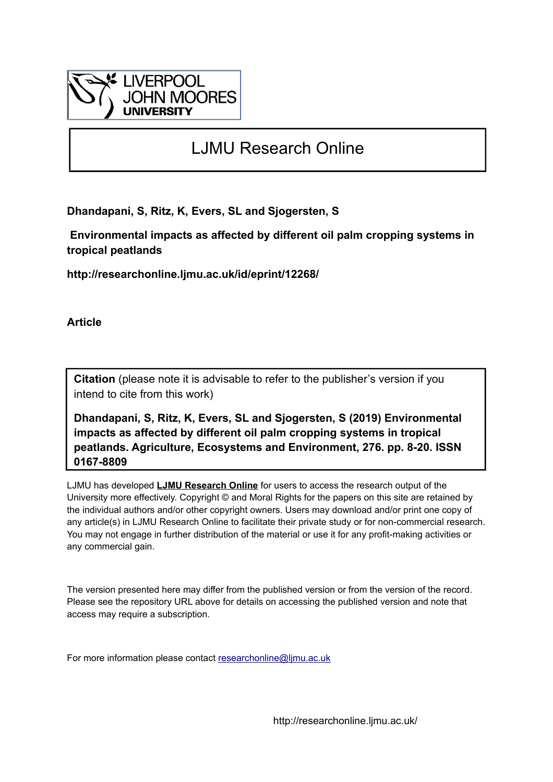

# LJMU Research Online

**Dhandapani, S, Ritz, K, Evers, SL and Sjogersten, S**

 **Environmental impacts as affected by different oil palm cropping systems in tropical peatlands**

**http://researchonline.ljmu.ac.uk/id/eprint/12268/**

**Article**

**Citation** (please note it is advisable to refer to the publisher's version if you intend to cite from this work)

**Dhandapani, S, Ritz, K, Evers, SL and Sjogersten, S (2019) Environmental impacts as affected by different oil palm cropping systems in tropical peatlands. Agriculture, Ecosystems and Environment, 276. pp. 8-20. ISSN 0167-8809** 

LJMU has developed **[LJMU Research Online](http://researchonline.ljmu.ac.uk/)** for users to access the research output of the University more effectively. Copyright © and Moral Rights for the papers on this site are retained by the individual authors and/or other copyright owners. Users may download and/or print one copy of any article(s) in LJMU Research Online to facilitate their private study or for non-commercial research. You may not engage in further distribution of the material or use it for any profit-making activities or any commercial gain.

The version presented here may differ from the published version or from the version of the record. Please see the repository URL above for details on accessing the published version and note that access may require a subscription.

For more information please contact [researchonline@ljmu.ac.uk](mailto:researchonline@ljmu.ac.uk)

http://researchonline.ljmu.ac.uk/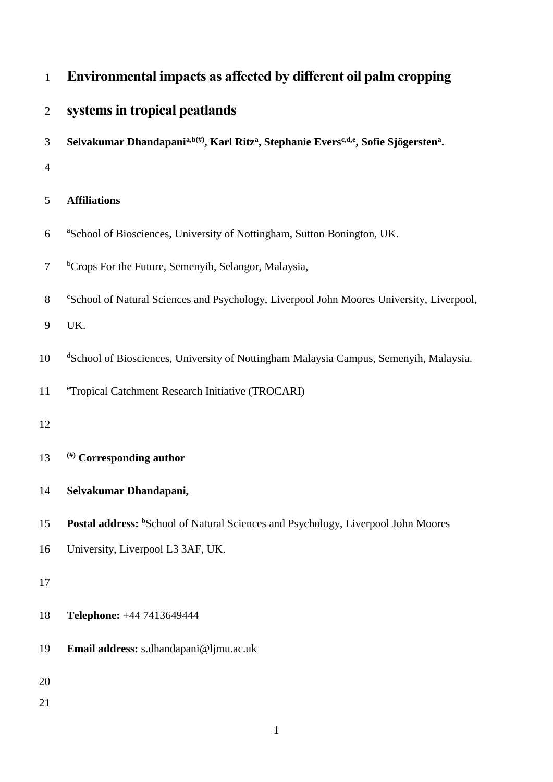| $\mathbf{1}$   | Environmental impacts as affected by different oil palm cropping                                                                        |
|----------------|-----------------------------------------------------------------------------------------------------------------------------------------|
| $\overline{2}$ | systems in tropical peatlands                                                                                                           |
| 3              | Selvakumar Dhandapani <sup>a, b(#)</sup> , Karl Ritz <sup>a</sup> , Stephanie Evers <sup>c, d,e</sup> , Sofie Sjögersten <sup>a</sup> . |
| $\overline{4}$ |                                                                                                                                         |
| 5              | <b>Affiliations</b>                                                                                                                     |
| 6              | <sup>a</sup> School of Biosciences, University of Nottingham, Sutton Bonington, UK.                                                     |
| $\overline{7}$ | <sup>b</sup> Crops For the Future, Semenyih, Selangor, Malaysia,                                                                        |
| 8              | "School of Natural Sciences and Psychology, Liverpool John Moores University, Liverpool,                                                |
| 9              | UK.                                                                                                                                     |
| 10             | <sup>d</sup> School of Biosciences, University of Nottingham Malaysia Campus, Semenyih, Malaysia.                                       |
| 11             | eTropical Catchment Research Initiative (TROCARI)                                                                                       |
| 12             |                                                                                                                                         |
| 13             | (#) Corresponding author                                                                                                                |
| 14             | Selvakumar Dhandapani,                                                                                                                  |
| 15             | Postal address: <sup>b</sup> School of Natural Sciences and Psychology, Liverpool John Moores                                           |
| 16             | University, Liverpool L3 3AF, UK.                                                                                                       |
| 17             |                                                                                                                                         |
| 18             | Telephone: +44 7413649444                                                                                                               |
| 19             | Email address: s.dhandapani@ljmu.ac.uk                                                                                                  |
| 20             |                                                                                                                                         |
| 21             |                                                                                                                                         |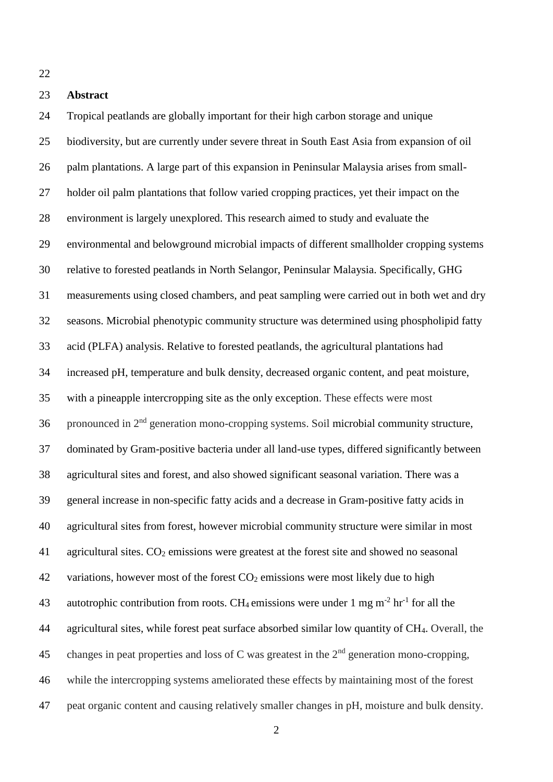### **Abstract**

 Tropical peatlands are globally important for their high carbon storage and unique biodiversity, but are currently under severe threat in South East Asia from expansion of oil palm plantations. A large part of this expansion in Peninsular Malaysia arises from small- holder oil palm plantations that follow varied cropping practices, yet their impact on the environment is largely unexplored. This research aimed to study and evaluate the environmental and belowground microbial impacts of different smallholder cropping systems relative to forested peatlands in North Selangor, Peninsular Malaysia. Specifically, GHG measurements using closed chambers, and peat sampling were carried out in both wet and dry seasons. Microbial phenotypic community structure was determined using phospholipid fatty acid (PLFA) analysis. Relative to forested peatlands, the agricultural plantations had increased pH, temperature and bulk density, decreased organic content, and peat moisture, with a pineapple intercropping site as the only exception. These effects were most 36 pronounced in  $2<sup>nd</sup>$  generation mono-cropping systems. Soil microbial community structure, dominated by Gram-positive bacteria under all land-use types, differed significantly between agricultural sites and forest, and also showed significant seasonal variation. There was a general increase in non-specific fatty acids and a decrease in Gram-positive fatty acids in agricultural sites from forest, however microbial community structure were similar in most 41 agricultural sites.  $CO<sub>2</sub>$  emissions were greatest at the forest site and showed no seasonal 42 variations, however most of the forest  $CO<sub>2</sub>$  emissions were most likely due to high 43 autotrophic contribution from roots. CH<sub>4</sub> emissions were under 1 mg m<sup>-2</sup> hr<sup>-1</sup> for all the agricultural sites, while forest peat surface absorbed similar low quantity of CH4. Overall, the 45 changes in peat properties and loss of C was greatest in the  $2<sup>nd</sup>$  generation mono-cropping, while the intercropping systems ameliorated these effects by maintaining most of the forest peat organic content and causing relatively smaller changes in pH, moisture and bulk density.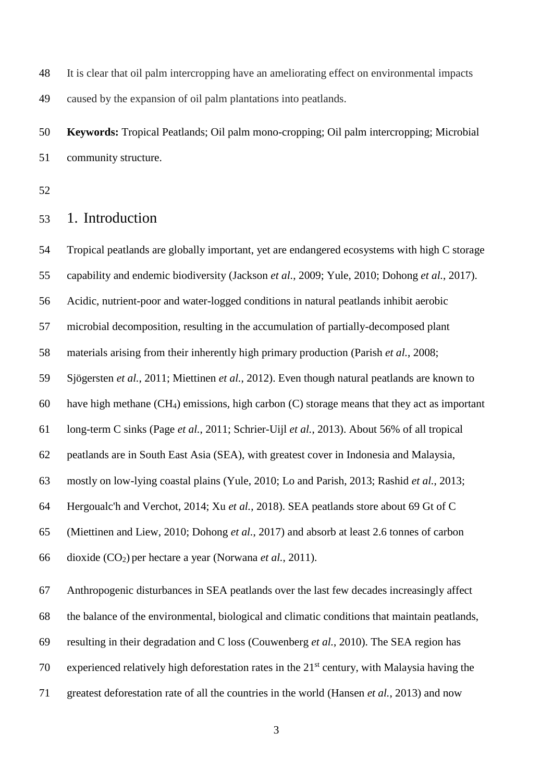It is clear that oil palm intercropping have an ameliorating effect on environmental impacts caused by the expansion of oil palm plantations into peatlands.

 **Keywords:** Tropical Peatlands; Oil palm mono-cropping; Oil palm intercropping; Microbial community structure.

## 1. Introduction

 Tropical peatlands are globally important, yet are endangered ecosystems with high C storage capability and endemic biodiversity (Jackson *et al.*, 2009; Yule, 2010; Dohong *et al.*, 2017).

Acidic, nutrient-poor and water-logged conditions in natural peatlands inhibit aerobic

microbial decomposition, resulting in the accumulation of partially-decomposed plant

materials arising from their inherently high primary production (Parish *et al.*, 2008;

Sjögersten *et al.*, 2011; Miettinen *et al.*, 2012). Even though natural peatlands are known to

60 have high methane  $(CH<sub>4</sub>)$  emissions, high carbon  $(C)$  storage means that they act as important

long-term C sinks (Page *et al.*, 2011; Schrier-Uijl *et al.*, 2013). About 56% of all tropical

peatlands are in South East Asia (SEA), with greatest cover in Indonesia and Malaysia,

mostly on low-lying coastal plains (Yule, 2010; Lo and Parish, 2013; Rashid *et al.*, 2013;

Hergoualc'h and Verchot, 2014; Xu *et al.*, 2018). SEA peatlands store about 69 Gt of C

(Miettinen and Liew, 2010; Dohong *et al.*, 2017) and absorb at least 2.6 tonnes of carbon

dioxide (CO2) per hectare a year (Norwana *et al.*, 2011).

Anthropogenic disturbances in SEA peatlands over the last few decades increasingly affect

the balance of the environmental, biological and climatic conditions that maintain peatlands,

resulting in their degradation and C loss (Couwenberg *et al.*, 2010). The SEA region has

70 experienced relatively high deforestation rates in the  $21<sup>st</sup>$  century, with Malaysia having the

greatest deforestation rate of all the countries in the world (Hansen *et al.*, 2013) and now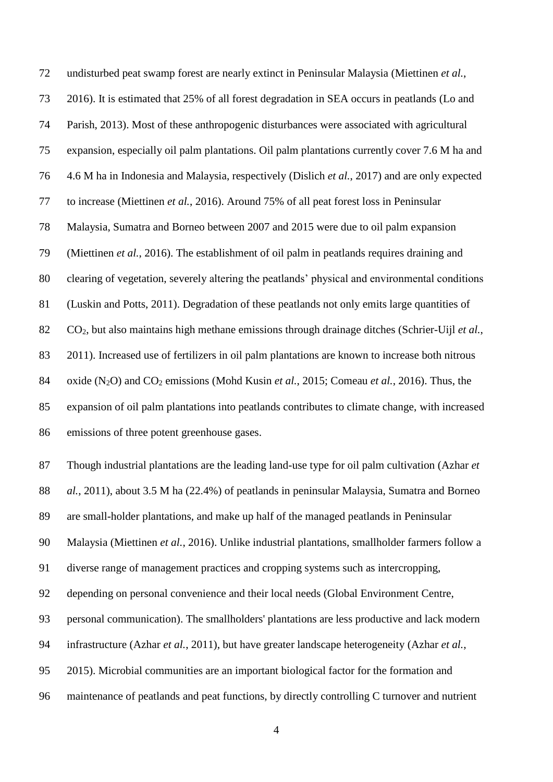undisturbed peat swamp forest are nearly extinct in Peninsular Malaysia (Miettinen *et al.*, 2016). It is estimated that 25% of all forest degradation in SEA occurs in peatlands (Lo and Parish, 2013). Most of these anthropogenic disturbances were associated with agricultural expansion, especially oil palm plantations. Oil palm plantations currently cover 7.6 M ha and 4.6 M ha in Indonesia and Malaysia, respectively (Dislich *et al.*, 2017) and are only expected to increase (Miettinen *et al.*, 2016). Around 75% of all peat forest loss in Peninsular Malaysia, Sumatra and Borneo between 2007 and 2015 were due to oil palm expansion (Miettinen *et al.*, 2016). The establishment of oil palm in peatlands requires draining and clearing of vegetation, severely altering the peatlands' physical and environmental conditions (Luskin and Potts, 2011). Degradation of these peatlands not only emits large quantities of CO2, but also maintains high methane emissions through drainage ditches (Schrier-Uijl *et al.*, 2011). Increased use of fertilizers in oil palm plantations are known to increase both nitrous oxide (N2O) and CO<sup>2</sup> emissions (Mohd Kusin *et al.*, 2015; Comeau *et al.*, 2016). Thus, the expansion of oil palm plantations into peatlands contributes to climate change, with increased emissions of three potent greenhouse gases.

 Though industrial plantations are the leading land-use type for oil palm cultivation (Azhar *et al.*, 2011), about 3.5 M ha (22.4%) of peatlands in peninsular Malaysia, Sumatra and Borneo are small-holder plantations, and make up half of the managed peatlands in Peninsular Malaysia (Miettinen *et al.*, 2016). Unlike industrial plantations, smallholder farmers follow a diverse range of management practices and cropping systems such as intercropping, depending on personal convenience and their local needs (Global Environment Centre, personal communication). The smallholders' plantations are less productive and lack modern infrastructure (Azhar *et al.*, 2011), but have greater landscape heterogeneity (Azhar *et al.*, 2015). Microbial communities are an important biological factor for the formation and maintenance of peatlands and peat functions, by directly controlling C turnover and nutrient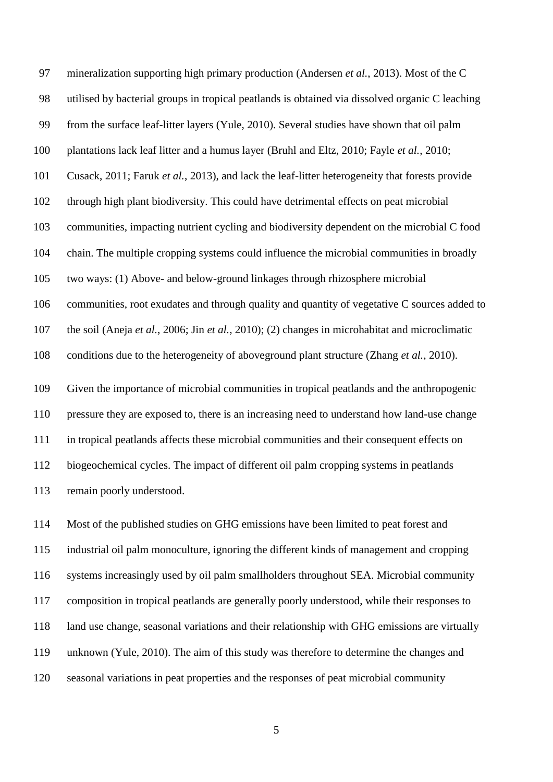mineralization supporting high primary production (Andersen *et al.*, 2013). Most of the C utilised by bacterial groups in tropical peatlands is obtained via dissolved organic C leaching from the surface leaf-litter layers (Yule, 2010). Several studies have shown that oil palm plantations lack leaf litter and a humus layer (Bruhl and Eltz, 2010; Fayle *et al.*, 2010; Cusack, 2011; Faruk *et al.*, 2013), and lack the leaf-litter heterogeneity that forests provide through high plant biodiversity. This could have detrimental effects on peat microbial communities, impacting nutrient cycling and biodiversity dependent on the microbial C food chain. The multiple cropping systems could influence the microbial communities in broadly two ways: (1) Above- and below-ground linkages through rhizosphere microbial communities, root exudates and through quality and quantity of vegetative C sources added to the soil (Aneja *et al.*, 2006; Jin *et al.*, 2010); (2) changes in microhabitat and microclimatic conditions due to the heterogeneity of aboveground plant structure (Zhang *et al.*, 2010). Given the importance of microbial communities in tropical peatlands and the anthropogenic pressure they are exposed to, there is an increasing need to understand how land-use change in tropical peatlands affects these microbial communities and their consequent effects on biogeochemical cycles. The impact of different oil palm cropping systems in peatlands

remain poorly understood.

 Most of the published studies on GHG emissions have been limited to peat forest and industrial oil palm monoculture, ignoring the different kinds of management and cropping systems increasingly used by oil palm smallholders throughout SEA. Microbial community composition in tropical peatlands are generally poorly understood, while their responses to land use change, seasonal variations and their relationship with GHG emissions are virtually unknown (Yule, 2010). The aim of this study was therefore to determine the changes and seasonal variations in peat properties and the responses of peat microbial community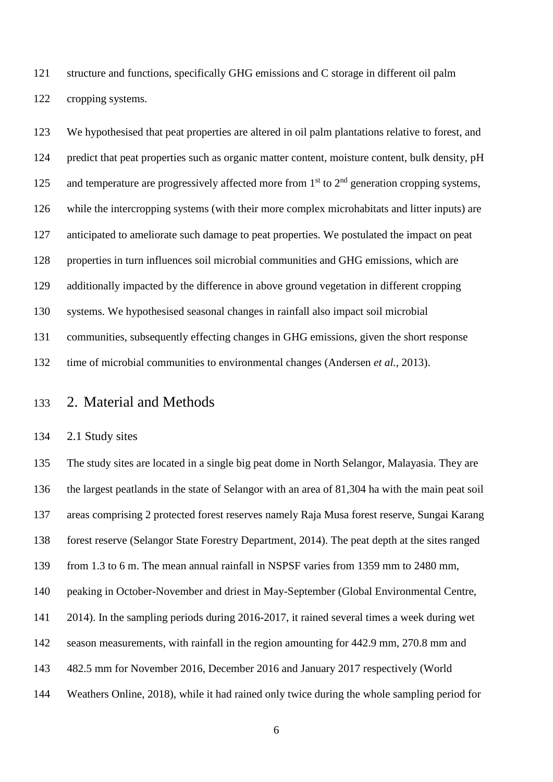structure and functions, specifically GHG emissions and C storage in different oil palm cropping systems.

 We hypothesised that peat properties are altered in oil palm plantations relative to forest, and 124 predict that peat properties such as organic matter content, moisture content, bulk density, pH 125 and temperature are progressively affected more from  $1<sup>st</sup>$  to  $2<sup>nd</sup>$  generation cropping systems, while the intercropping systems (with their more complex microhabitats and litter inputs) are anticipated to ameliorate such damage to peat properties. We postulated the impact on peat properties in turn influences soil microbial communities and GHG emissions, which are additionally impacted by the difference in above ground vegetation in different cropping systems. We hypothesised seasonal changes in rainfall also impact soil microbial communities, subsequently effecting changes in GHG emissions, given the short response time of microbial communities to environmental changes (Andersen *et al.*, 2013).

### 2. Material and Methods

#### 2.1 Study sites

 The study sites are located in a single big peat dome in North Selangor, Malayasia. They are the largest peatlands in the state of Selangor with an area of 81,304 ha with the main peat soil areas comprising 2 protected forest reserves namely Raja Musa forest reserve, Sungai Karang forest reserve (Selangor State Forestry Department, 2014). The peat depth at the sites ranged from 1.3 to 6 m. The mean annual rainfall in NSPSF varies from 1359 mm to 2480 mm, peaking in October-November and driest in May-September (Global Environmental Centre, 2014). In the sampling periods during 2016-2017, it rained several times a week during wet season measurements, with rainfall in the region amounting for 442.9 mm, 270.8 mm and 482.5 mm for November 2016, December 2016 and January 2017 respectively (World Weathers Online, 2018), while it had rained only twice during the whole sampling period for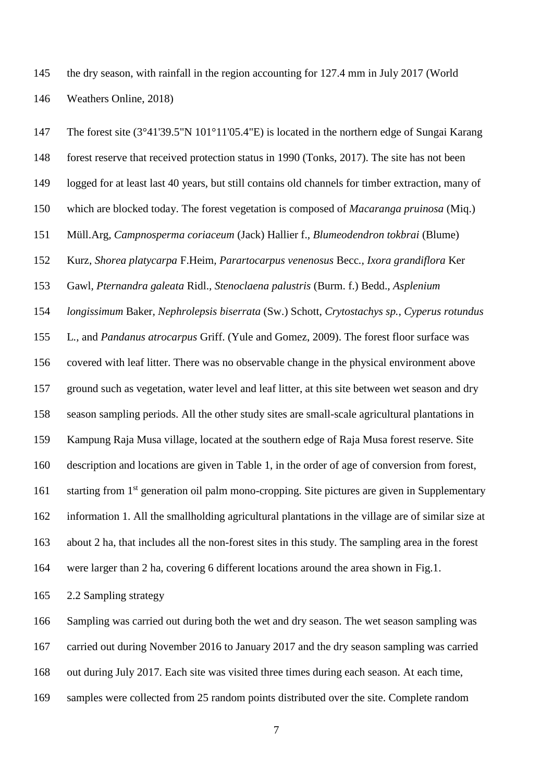the dry season, with rainfall in the region accounting for 127.4 mm in July 2017 (World Weathers Online, 2018)

 The forest site (3°41'39.5"N 101°11'05.4"E) is located in the northern edge of Sungai Karang forest reserve that received protection status in 1990 (Tonks, 2017). The site has not been logged for at least last 40 years, but still contains old channels for timber extraction, many of which are blocked today. The forest vegetation is composed of *Macaranga pruinosa* (Miq.) Müll.Arg*, Campnosperma coriaceum* (Jack) Hallier f.*, Blumeodendron tokbrai* (Blume) Kurz*, Shorea platycarpa* F.Heim*, Parartocarpus venenosus* Becc*., Ixora grandiflora* Ker Gawl*, Pternandra galeata* Ridl.*, Stenoclaena palustris* (Burm. f.) Bedd.*, Asplenium longissimum* Baker*, Nephrolepsis biserrata* (Sw.) Schott*, Crytostachys sp., Cyperus rotundus*  L*.,* and *Pandanus atrocarpus* Griff. (Yule and Gomez, 2009). The forest floor surface was covered with leaf litter. There was no observable change in the physical environment above ground such as vegetation, water level and leaf litter, at this site between wet season and dry season sampling periods. All the other study sites are small-scale agricultural plantations in Kampung Raja Musa village, located at the southern edge of Raja Musa forest reserve. Site description and locations are given in Table 1, in the order of age of conversion from forest, 161 starting from  $1<sup>st</sup>$  generation oil palm mono-cropping. Site pictures are given in Supplementary information 1. All the smallholding agricultural plantations in the village are of similar size at about 2 ha, that includes all the non-forest sites in this study. The sampling area in the forest were larger than 2 ha, covering 6 different locations around the area shown in Fig.1.

2.2 Sampling strategy

Sampling was carried out during both the wet and dry season. The wet season sampling was

carried out during November 2016 to January 2017 and the dry season sampling was carried

out during July 2017. Each site was visited three times during each season. At each time,

samples were collected from 25 random points distributed over the site. Complete random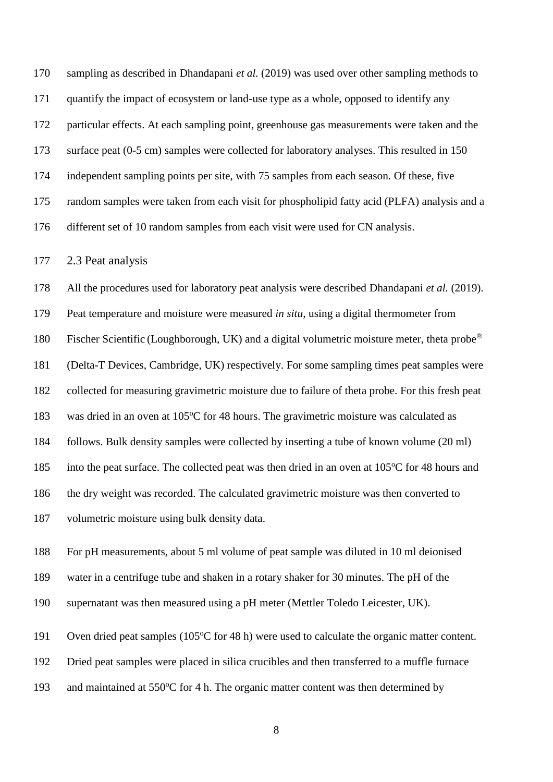sampling as described in Dhandapani *et al.* (2019) was used over other sampling methods to quantify the impact of ecosystem or land-use type as a whole, opposed to identify any particular effects. At each sampling point, greenhouse gas measurements were taken and the surface peat (0-5 cm) samples were collected for laboratory analyses. This resulted in 150 independent sampling points per site, with 75 samples from each season. Of these, five random samples were taken from each visit for phospholipid fatty acid (PLFA) analysis and a different set of 10 random samples from each visit were used for CN analysis.

2.3 Peat analysis

 All the procedures used for laboratory peat analysis were described Dhandapani *et al.* (2019). Peat temperature and moisture were measured *in situ*, using a digital thermometer from 180 Fischer Scientific (Loughborough, UK) and a digital volumetric moisture meter, theta probe® (Delta-T Devices, Cambridge, UK) respectively. For some sampling times peat samples were collected for measuring gravimetric moisture due to failure of theta probe. For this fresh peat 183 was dried in an oven at 105°C for 48 hours. The gravimetric moisture was calculated as follows. Bulk density samples were collected by inserting a tube of known volume (20 ml) 185 into the peat surface. The collected peat was then dried in an oven at 105°C for 48 hours and the dry weight was recorded. The calculated gravimetric moisture was then converted to volumetric moisture using bulk density data.

 For pH measurements, about 5 ml volume of peat sample was diluted in 10 ml deionised water in a centrifuge tube and shaken in a rotary shaker for 30 minutes. The pH of the supernatant was then measured using a pH meter (Mettler Toledo Leicester, UK).

191 Oven dried peat samples (105°C for 48 h) were used to calculate the organic matter content.

Dried peat samples were placed in silica crucibles and then transferred to a muffle furnace

193 and maintained at 550°C for 4 h. The organic matter content was then determined by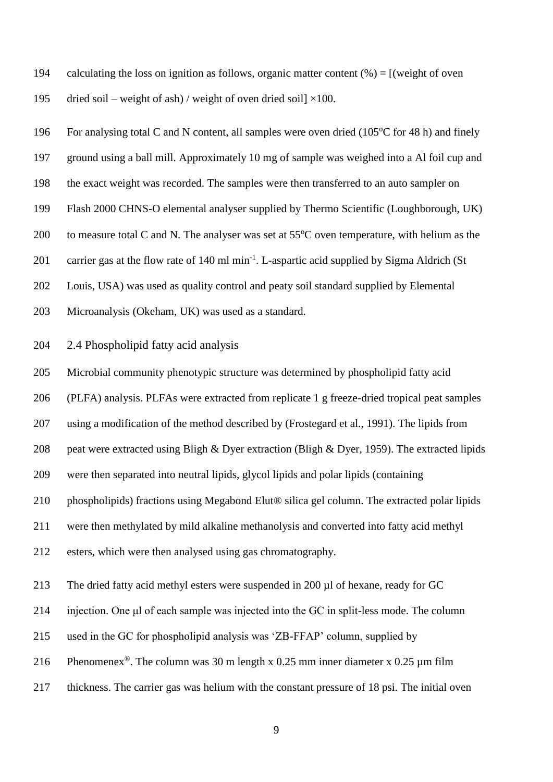194 calculating the loss on ignition as follows, organic matter content  $%$  =  $[$  (weight of oven

195 dried soil – weight of ash) / weight of oven dried soil  $\times$ 100.

 ground using a ball mill. Approximately 10 mg of sample was weighed into a Al foil cup and the exact weight was recorded. The samples were then transferred to an auto sampler on Flash 2000 CHNS-O elemental analyser supplied by Thermo Scientific (Loughborough, UK) 200 to measure total C and N. The analyser was set at  $55^{\circ}$ C oven temperature, with helium as the

196 For analysing total C and N content, all samples were oven dried (105°C for 48 h) and finely

201 carrier gas at the flow rate of  $140 \text{ ml min}^{-1}$ . L-aspartic acid supplied by Sigma Aldrich (St

Louis, USA) was used as quality control and peaty soil standard supplied by Elemental

- Microanalysis (Okeham, UK) was used as a standard.
- 2.4 Phospholipid fatty acid analysis

Microbial community phenotypic structure was determined by phospholipid fatty acid

(PLFA) analysis. PLFAs were extracted from replicate 1 g freeze-dried tropical peat samples

using a modification of the method described by (Frostegard et al., 1991). The lipids from

peat were extracted using Bligh & Dyer extraction (Bligh & Dyer, 1959). The extracted lipids

were then separated into neutral lipids, glycol lipids and polar lipids (containing

210 phospholipids) fractions using Megabond Elut® silica gel column. The extracted polar lipids

were then methylated by mild alkaline methanolysis and converted into fatty acid methyl

esters, which were then analysed using gas chromatography.

213 The dried fatty acid methyl esters were suspended in 200 µl of hexane, ready for GC

injection. One μl of each sample was injected into the GC in split-less mode. The column

used in the GC for phospholipid analysis was 'ZB-FFAP' column, supplied by

216 Phenomenex<sup>®</sup>. The column was 30 m length x 0.25 mm inner diameter x 0.25  $\mu$ m film

thickness. The carrier gas was helium with the constant pressure of 18 psi. The initial oven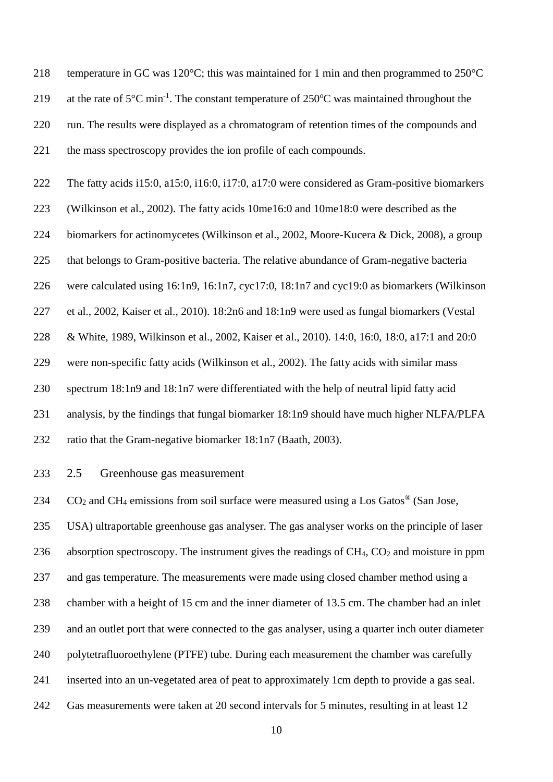temperature in GC was 120°C; this was maintained for 1 min and then programmed to 250°C 219 at the rate of  $5^{\circ}$ C min<sup>-1</sup>. The constant temperature of  $250^{\circ}$ C was maintained throughout the run. The results were displayed as a chromatogram of retention times of the compounds and the mass spectroscopy provides the ion profile of each compounds.

 The fatty acids i15:0, a15:0, i16:0, i17:0, a17:0 were considered as Gram-positive biomarkers (Wilkinson et al., 2002). The fatty acids 10me16:0 and 10me18:0 were described as the 224 biomarkers for actinomycetes (Wilkinson et al., 2002, Moore-Kucera & Dick, 2008), a group that belongs to Gram-positive bacteria. The relative abundance of Gram-negative bacteria were calculated using 16:1n9, 16:1n7, cyc17:0, 18:1n7 and cyc19:0 as biomarkers (Wilkinson et al., 2002, Kaiser et al., 2010). 18:2n6 and 18:1n9 were used as fungal biomarkers (Vestal & White, 1989, Wilkinson et al., 2002, Kaiser et al., 2010). 14:0, 16:0, 18:0, a17:1 and 20:0 were non-specific fatty acids (Wilkinson et al., 2002). The fatty acids with similar mass spectrum 18:1n9 and 18:1n7 were differentiated with the help of neutral lipid fatty acid analysis, by the findings that fungal biomarker 18:1n9 should have much higher NLFA/PLFA ratio that the Gram-negative biomarker 18:1n7 (Baath, 2003).

2.5 Greenhouse gas measurement

 $CO_2$  and CH<sub>4</sub> emissions from soil surface were measured using a Los Gatos<sup>®</sup> (San Jose, USA) ultraportable greenhouse gas analyser. The gas analyser works on the principle of laser 236 absorption spectroscopy. The instrument gives the readings of  $CH_4$ ,  $CO_2$  and moisture in ppm and gas temperature. The measurements were made using closed chamber method using a chamber with a height of 15 cm and the inner diameter of 13.5 cm. The chamber had an inlet and an outlet port that were connected to the gas analyser, using a quarter inch outer diameter polytetrafluoroethylene (PTFE) tube. During each measurement the chamber was carefully inserted into an un-vegetated area of peat to approximately 1cm depth to provide a gas seal. Gas measurements were taken at 20 second intervals for 5 minutes, resulting in at least 12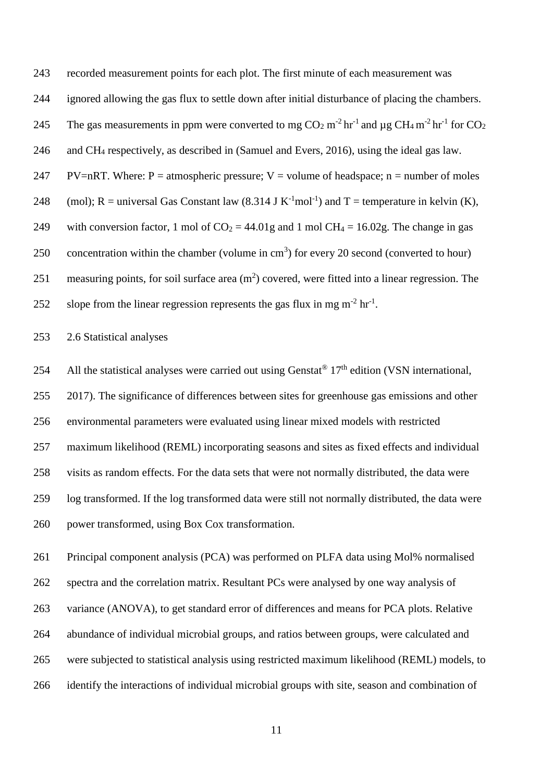recorded measurement points for each plot. The first minute of each measurement was ignored allowing the gas flux to settle down after initial disturbance of placing the chambers. 245 The gas measurements in ppm were converted to mg  $CO_2$  m<sup>-2</sup> hr<sup>-1</sup> and  $\mu$ g CH<sub>4</sub> m<sup>-2</sup> hr<sup>-1</sup> for CO<sub>2</sub> and CH<sup>4</sup> respectively, as described in (Samuel and Evers, 2016), using the ideal gas law. 247 PV=nRT. Where: P = atmospheric pressure; V = volume of headspace; n = number of moles 248 (mol); R = universal Gas Constant law  $(8.314 \text{ J K}^{-1} \text{mol}^{-1})$  and T = temperature in kelvin (K), 249 with conversion factor, 1 mol of  $CO_2 = 44.01g$  and 1 mol  $CH_4 = 16.02g$ . The change in gas 250 concentration within the chamber (volume in  $cm<sup>3</sup>$ ) for every 20 second (converted to hour) 251 measuring points, for soil surface area  $(m<sup>2</sup>)$  covered, were fitted into a linear regression. The 252 slope from the linear regression represents the gas flux in mg  $m^{-2}$  hr<sup>-1</sup>.

2.6 Statistical analyses

254 All the statistical analyses were carried out using Genstat<sup>®</sup>  $17<sup>th</sup>$  edition (VSN international, 2017). The significance of differences between sites for greenhouse gas emissions and other environmental parameters were evaluated using linear mixed models with restricted maximum likelihood (REML) incorporating seasons and sites as fixed effects and individual visits as random effects. For the data sets that were not normally distributed, the data were log transformed. If the log transformed data were still not normally distributed, the data were power transformed, using Box Cox transformation.

 Principal component analysis (PCA) was performed on PLFA data using Mol% normalised spectra and the correlation matrix. Resultant PCs were analysed by one way analysis of variance (ANOVA), to get standard error of differences and means for PCA plots. Relative abundance of individual microbial groups, and ratios between groups, were calculated and were subjected to statistical analysis using restricted maximum likelihood (REML) models, to identify the interactions of individual microbial groups with site, season and combination of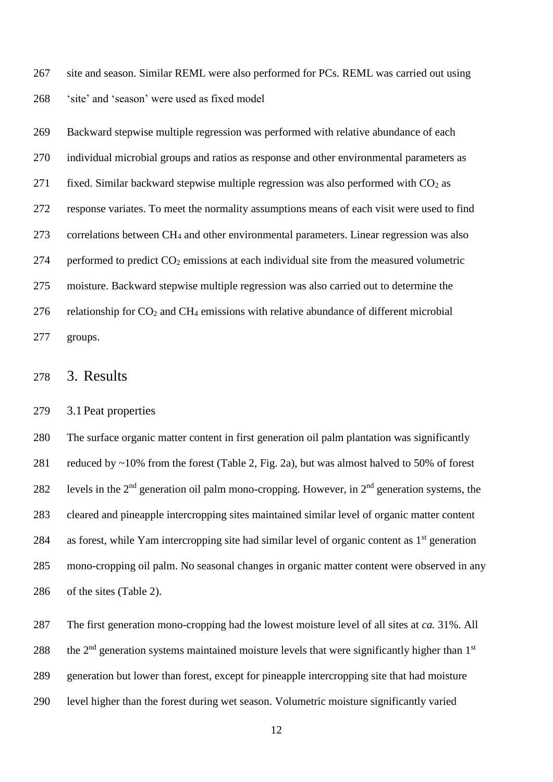site and season. Similar REML were also performed for PCs. REML was carried out using 'site' and 'season' were used as fixed model

 Backward stepwise multiple regression was performed with relative abundance of each individual microbial groups and ratios as response and other environmental parameters as 271 fixed. Similar backward stepwise multiple regression was also performed with  $CO<sub>2</sub>$  as response variates. To meet the normality assumptions means of each visit were used to find correlations between CH<sup>4</sup> and other environmental parameters. Linear regression was also 274 performed to predict  $CO<sub>2</sub>$  emissions at each individual site from the measured volumetric moisture. Backward stepwise multiple regression was also carried out to determine the 276 relationship for  $CO_2$  and  $CH_4$  emissions with relative abundance of different microbial groups.

### 3. Results

#### 3.1Peat properties

 The surface organic matter content in first generation oil palm plantation was significantly reduced by ~10% from the forest (Table 2, Fig. 2a), but was almost halved to 50% of forest 282 levels in the  $2<sup>nd</sup>$  generation oil palm mono-cropping. However, in  $2<sup>nd</sup>$  generation systems, the cleared and pineapple intercropping sites maintained similar level of organic matter content 284 as forest, while Yam intercropping site had similar level of organic content as  $1<sup>st</sup>$  generation mono-cropping oil palm. No seasonal changes in organic matter content were observed in any of the sites (Table 2).

 The first generation mono-cropping had the lowest moisture level of all sites at *ca.* 31%. All 288 the  $2<sup>nd</sup>$  generation systems maintained moisture levels that were significantly higher than  $1<sup>st</sup>$  generation but lower than forest, except for pineapple intercropping site that had moisture level higher than the forest during wet season. Volumetric moisture significantly varied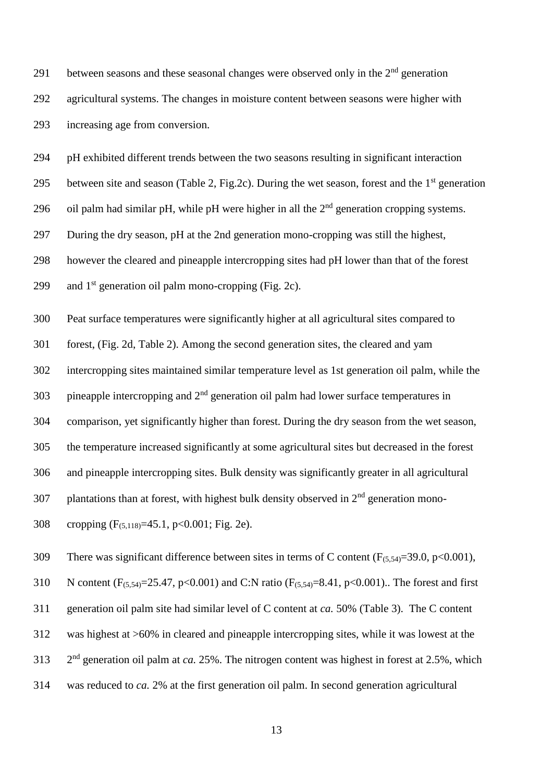291 between seasons and these seasonal changes were observed only in the  $2<sup>nd</sup>$  generation agricultural systems. The changes in moisture content between seasons were higher with increasing age from conversion.

pH exhibited different trends between the two seasons resulting in significant interaction

295 between site and season (Table 2, Fig.2c). During the wet season, forest and the  $1<sup>st</sup>$  generation

296 oil palm had similar pH, while pH were higher in all the  $2<sup>nd</sup>$  generation cropping systems.

During the dry season, pH at the 2nd generation mono-cropping was still the highest,

however the cleared and pineapple intercropping sites had pH lower than that of the forest

299 and  $1<sup>st</sup>$  generation oil palm mono-cropping (Fig. 2c).

Peat surface temperatures were significantly higher at all agricultural sites compared to

forest, (Fig. 2d, Table 2). Among the second generation sites, the cleared and yam

intercropping sites maintained similar temperature level as 1st generation oil palm, while the

303 pineapple intercropping and  $2<sup>nd</sup>$  generation oil palm had lower surface temperatures in

comparison, yet significantly higher than forest. During the dry season from the wet season,

the temperature increased significantly at some agricultural sites but decreased in the forest

and pineapple intercropping sites. Bulk density was significantly greater in all agricultural

307 plantations than at forest, with highest bulk density observed in  $2<sup>nd</sup>$  generation mono-

cropping (F(5,118)=45.1, p<0.001; Fig. 2e).

309 There was significant difference between sites in terms of C content  $(F_{(5,54)}=39.0, p<0.001)$ ,

310 N content  $(F_{(5,54)}=25.47, p<0.001)$  and C:N ratio  $(F_{(5,54)}=8.41, p<0.001)$ . The forest and first

generation oil palm site had similar level of C content at *ca.* 50% (Table 3). The C content

was highest at >60% in cleared and pineapple intercropping sites, while it was lowest at the

2 nd generation oil palm at *ca.* 25%. The nitrogen content was highest in forest at 2.5%, which

was reduced to *ca.* 2% at the first generation oil palm. In second generation agricultural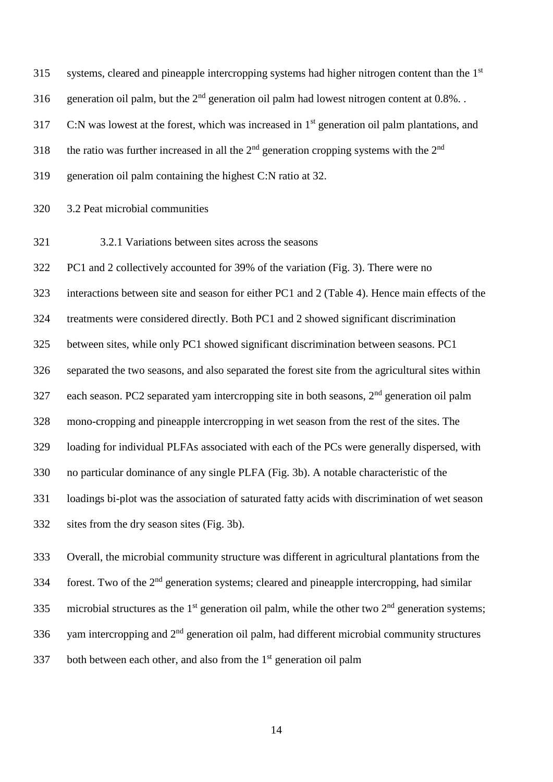systems, cleared and pineapple intercropping systems had higher nitrogen content than the 1<sup>st</sup> 316 generation oil palm, but the  $2<sup>nd</sup>$  generation oil palm had lowest nitrogen content at 0.8%. . 317 C:N was lowest at the forest, which was increased in  $1<sup>st</sup>$  generation oil palm plantations, and 318 the ratio was further increased in all the  $2<sup>nd</sup>$  generation cropping systems with the  $2<sup>nd</sup>$  generation oil palm containing the highest C:N ratio at 32. 3.2 Peat microbial communities 3.2.1 Variations between sites across the seasons PC1 and 2 collectively accounted for 39% of the variation (Fig. 3). There were no interactions between site and season for either PC1 and 2 (Table 4). Hence main effects of the treatments were considered directly. Both PC1 and 2 showed significant discrimination between sites, while only PC1 showed significant discrimination between seasons. PC1 separated the two seasons, and also separated the forest site from the agricultural sites within 327 each season. PC2 separated yam intercropping site in both seasons,  $2<sup>nd</sup>$  generation oil palm mono-cropping and pineapple intercropping in wet season from the rest of the sites. The loading for individual PLFAs associated with each of the PCs were generally dispersed, with no particular dominance of any single PLFA (Fig. 3b). A notable characteristic of the loadings bi-plot was the association of saturated fatty acids with discrimination of wet season sites from the dry season sites (Fig. 3b).

 Overall, the microbial community structure was different in agricultural plantations from the  $f(334)$  forest. Two of the  $2<sup>nd</sup>$  generation systems; cleared and pineapple intercropping, had similar 335 microbial structures as the 1<sup>st</sup> generation oil palm, while the other two  $2<sup>nd</sup>$  generation systems; 336 yam intercropping and  $2<sup>nd</sup>$  generation oil palm, had different microbial community structures 337 both between each other, and also from the  $1<sup>st</sup>$  generation oil palm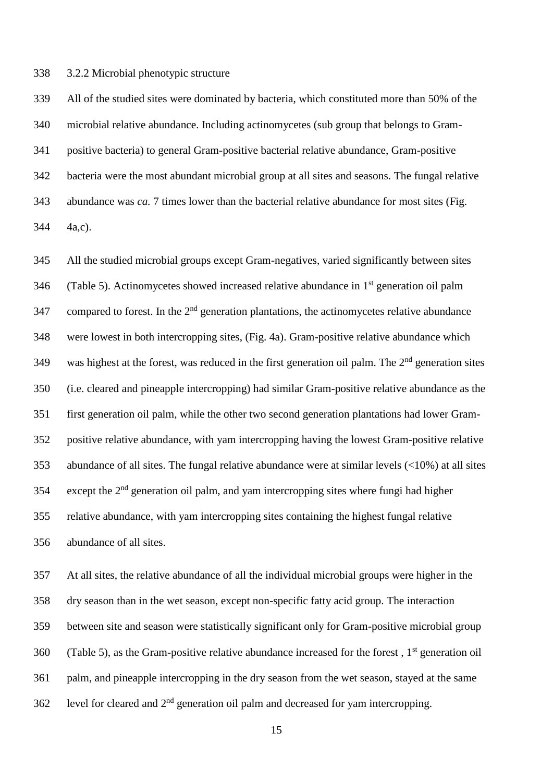3.2.2 Microbial phenotypic structure

 All of the studied sites were dominated by bacteria, which constituted more than 50% of the microbial relative abundance. Including actinomycetes (sub group that belongs to Gram- positive bacteria) to general Gram-positive bacterial relative abundance, Gram-positive bacteria were the most abundant microbial group at all sites and seasons. The fungal relative abundance was *ca.* 7 times lower than the bacterial relative abundance for most sites (Fig. 4a,c).

 All the studied microbial groups except Gram-negatives, varied significantly between sites 346 (Table 5). Actinomycetes showed increased relative abundance in  $1<sup>st</sup>$  generation oil palm 347 compared to forest. In the  $2<sup>nd</sup>$  generation plantations, the actinomycetes relative abundance were lowest in both intercropping sites, (Fig. 4a). Gram-positive relative abundance which 349 was highest at the forest, was reduced in the first generation oil palm. The  $2<sup>nd</sup>$  generation sites (i.e. cleared and pineapple intercropping) had similar Gram-positive relative abundance as the first generation oil palm, while the other two second generation plantations had lower Gram- positive relative abundance, with yam intercropping having the lowest Gram-positive relative abundance of all sites. The fungal relative abundance were at similar levels (<10%) at all sites 354 except the  $2<sup>nd</sup>$  generation oil palm, and yam intercropping sites where fungi had higher relative abundance, with yam intercropping sites containing the highest fungal relative abundance of all sites.

 At all sites, the relative abundance of all the individual microbial groups were higher in the dry season than in the wet season, except non-specific fatty acid group. The interaction between site and season were statistically significant only for Gram-positive microbial group 360 (Table 5), as the Gram-positive relative abundance increased for the forest,  $1<sup>st</sup>$  generation oil palm, and pineapple intercropping in the dry season from the wet season, stayed at the same 362 level for cleared and  $2<sup>nd</sup>$  generation oil palm and decreased for yam intercropping.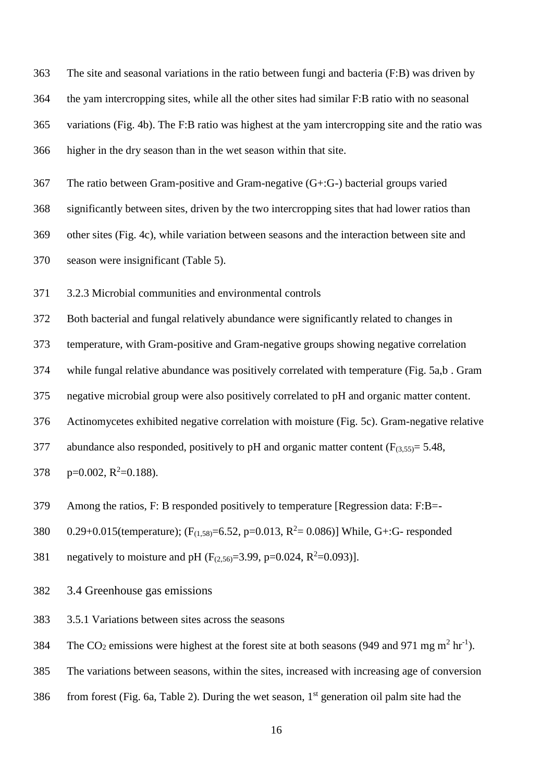The site and seasonal variations in the ratio between fungi and bacteria (F:B) was driven by the yam intercropping sites, while all the other sites had similar F:B ratio with no seasonal variations (Fig. 4b). The F:B ratio was highest at the yam intercropping site and the ratio was higher in the dry season than in the wet season within that site.

The ratio between Gram-positive and Gram-negative (G+:G-) bacterial groups varied

significantly between sites, driven by the two intercropping sites that had lower ratios than

other sites (Fig. 4c), while variation between seasons and the interaction between site and

season were insignificant (Table 5).

3.2.3 Microbial communities and environmental controls

Both bacterial and fungal relatively abundance were significantly related to changes in

temperature, with Gram-positive and Gram-negative groups showing negative correlation

while fungal relative abundance was positively correlated with temperature (Fig. 5a,b . Gram

negative microbial group were also positively correlated to pH and organic matter content.

Actinomycetes exhibited negative correlation with moisture (Fig. 5c). Gram-negative relative

377 abundance also responded, positively to pH and organic matter content  $(F_{(3,55)} = 5.48,$ 

378  $p=0.002$ ,  $R^2=0.188$ ).

Among the ratios, F: B responded positively to temperature [Regression data: F:B=-

380 0.29+0.015(temperature);  $(F_{(1,58)}=6.52, p=0.013, R^2=0.086)$ ] While, G+:G- responded

381 negatively to moisture and pH  $(F_{(2,56)}=3.99, p=0.024, R^2=0.093)$ .

3.4 Greenhouse gas emissions

3.5.1 Variations between sites across the seasons

384 The CO<sub>2</sub> emissions were highest at the forest site at both seasons (949 and 971 mg m<sup>2</sup> hr<sup>-1</sup>).

The variations between seasons, within the sites, increased with increasing age of conversion

 $f(386)$  from forest (Fig. 6a, Table 2). During the wet season, 1<sup>st</sup> generation oil palm site had the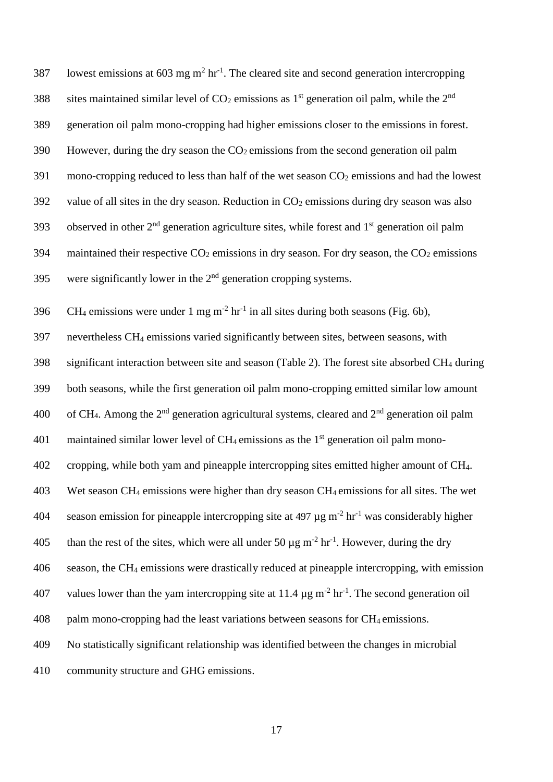| 387 | lowest emissions at 603 mg $m2$ hr <sup>-1</sup> . The cleared site and second generation intercropping                   |
|-----|---------------------------------------------------------------------------------------------------------------------------|
| 388 | sites maintained similar level of $CO2$ emissions as 1 <sup>st</sup> generation oil palm, while the 2 <sup>nd</sup>       |
| 389 | generation oil palm mono-cropping had higher emissions closer to the emissions in forest.                                 |
| 390 | However, during the dry season the $CO2$ emissions from the second generation oil palm                                    |
| 391 | mono-cropping reduced to less than half of the wet season CO <sub>2</sub> emissions and had the lowest                    |
| 392 | value of all sites in the dry season. Reduction in CO <sub>2</sub> emissions during dry season was also                   |
| 393 | observed in other 2 <sup>nd</sup> generation agriculture sites, while forest and 1 <sup>st</sup> generation oil palm      |
| 394 | maintained their respective $CO2$ emissions in dry season. For dry season, the $CO2$ emissions                            |
| 395 | were significantly lower in the $2nd$ generation cropping systems.                                                        |
| 396 | $CH_4$ emissions were under 1 mg m <sup>-2</sup> hr <sup>-1</sup> in all sites during both seasons (Fig. 6b),             |
| 397 | nevertheless CH <sub>4</sub> emissions varied significantly between sites, between seasons, with                          |
| 398 | significant interaction between site and season (Table 2). The forest site absorbed CH <sub>4</sub> during                |
| 399 | both seasons, while the first generation oil palm mono-cropping emitted similar low amount                                |
| 400 | of CH <sub>4</sub> . Among the $2nd$ generation agricultural systems, cleared and $2nd$ generation oil palm               |
| 401 | maintained similar lower level of CH <sub>4</sub> emissions as the 1 <sup>st</sup> generation oil palm mono-              |
| 402 | cropping, while both yam and pineapple intercropping sites emitted higher amount of CH <sub>4</sub> .                     |
| 403 | Wet season CH <sub>4</sub> emissions were higher than dry season CH <sub>4</sub> emissions for all sites. The wet         |
| 404 | season emission for pineapple intercropping site at 497 $\mu$ g m <sup>-2</sup> hr <sup>-1</sup> was considerably higher  |
| 405 | than the rest of the sites, which were all under 50 $\mu$ g m <sup>-2</sup> hr <sup>-1</sup> . However, during the dry    |
| 406 | season, the CH <sub>4</sub> emissions were drastically reduced at pineapple intercropping, with emission                  |
| 407 | values lower than the yam intercropping site at 11.4 $\mu$ g m <sup>-2</sup> hr <sup>-1</sup> . The second generation oil |
| 408 | palm mono-cropping had the least variations between seasons for CH <sub>4</sub> emissions.                                |
| 409 | No statistically significant relationship was identified between the changes in microbial                                 |
| 410 | community structure and GHG emissions.                                                                                    |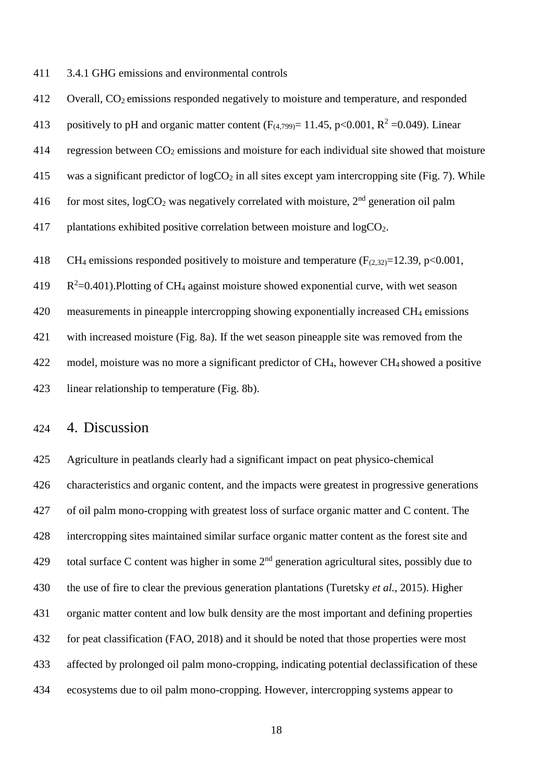3.4.1 GHG emissions and environmental controls

 Overall, CO2 emissions responded negatively to moisture and temperature, and responded 413 positively to pH and organic matter content  $(F_{(4,799)} = 11.45, p<0.001, R^2 = 0.049)$ . Linear 414 regression between  $CO_2$  emissions and moisture for each individual site showed that moisture 415 was a significant predictor of  $logCO<sub>2</sub>$  in all sites except yam intercropping site (Fig. 7). While 416 for most sites,  $logCO<sub>2</sub>$  was negatively correlated with moisture,  $2<sup>nd</sup>$  generation oil palm 417 plantations exhibited positive correlation between moisture and  $logCO<sub>2</sub>$ . 418 CH<sub>4</sub> emissions responded positively to moisture and temperature ( $F<sub>(2,32)</sub>=12.39$ , p<0.001,  $R^2$ =0.401). Plotting of CH<sub>4</sub> against moisture showed exponential curve, with wet season measurements in pineapple intercropping showing exponentially increased CH<sup>4</sup> emissions with increased moisture (Fig. 8a). If the wet season pineapple site was removed from the 422 model, moisture was no more a significant predictor of CH<sub>4</sub>, however CH<sub>4</sub> showed a positive linear relationship to temperature (Fig. 8b).

# 4. Discussion

 Agriculture in peatlands clearly had a significant impact on peat physico-chemical characteristics and organic content, and the impacts were greatest in progressive generations of oil palm mono-cropping with greatest loss of surface organic matter and C content. The intercropping sites maintained similar surface organic matter content as the forest site and 429 total surface C content was higher in some  $2<sup>nd</sup>$  generation agricultural sites, possibly due to the use of fire to clear the previous generation plantations (Turetsky *et al.*, 2015). Higher organic matter content and low bulk density are the most important and defining properties for peat classification (FAO, 2018) and it should be noted that those properties were most affected by prolonged oil palm mono-cropping, indicating potential declassification of these ecosystems due to oil palm mono-cropping. However, intercropping systems appear to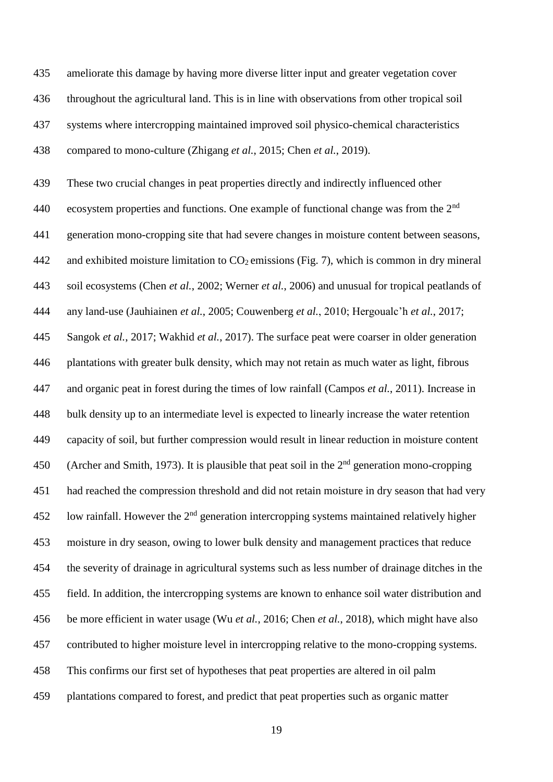ameliorate this damage by having more diverse litter input and greater vegetation cover throughout the agricultural land. This is in line with observations from other tropical soil systems where intercropping maintained improved soil physico-chemical characteristics compared to mono-culture (Zhigang *et al.*, 2015; Chen *et al.*, 2019).

 These two crucial changes in peat properties directly and indirectly influenced other 440 ecosystem properties and functions. One example of functional change was from the  $2<sup>nd</sup>$  generation mono-cropping site that had severe changes in moisture content between seasons, 442 and exhibited moisture limitation to  $CO<sub>2</sub>$  emissions (Fig. 7), which is common in dry mineral soil ecosystems (Chen *et al.*, 2002; Werner *et al.*, 2006) and unusual for tropical peatlands of any land-use (Jauhiainen *et al.*, 2005; Couwenberg *et al.*, 2010; Hergoualc'h *et al.*, 2017; Sangok *et al.*, 2017; Wakhid *et al.*, 2017). The surface peat were coarser in older generation plantations with greater bulk density, which may not retain as much water as light, fibrous and organic peat in forest during the times of low rainfall (Campos *et al.*, 2011). Increase in bulk density up to an intermediate level is expected to linearly increase the water retention capacity of soil, but further compression would result in linear reduction in moisture content 450 (Archer and Smith, 1973). It is plausible that peat soil in the  $2<sup>nd</sup>$  generation mono-cropping had reached the compression threshold and did not retain moisture in dry season that had very 452 low rainfall. However the  $2<sup>nd</sup>$  generation intercropping systems maintained relatively higher moisture in dry season, owing to lower bulk density and management practices that reduce the severity of drainage in agricultural systems such as less number of drainage ditches in the field. In addition, the intercropping systems are known to enhance soil water distribution and be more efficient in water usage (Wu *et al.*, 2016; Chen *et al.*, 2018), which might have also contributed to higher moisture level in intercropping relative to the mono-cropping systems. This confirms our first set of hypotheses that peat properties are altered in oil palm plantations compared to forest, and predict that peat properties such as organic matter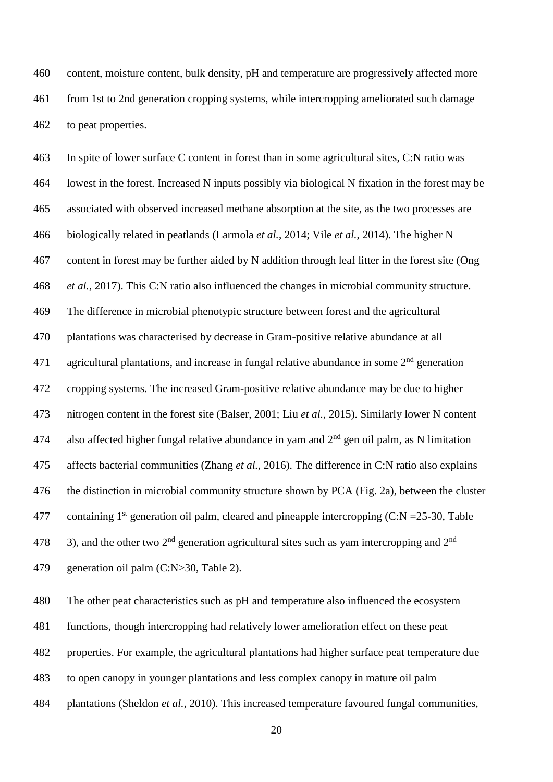content, moisture content, bulk density, pH and temperature are progressively affected more from 1st to 2nd generation cropping systems, while intercropping ameliorated such damage to peat properties.

 In spite of lower surface C content in forest than in some agricultural sites, C:N ratio was lowest in the forest. Increased N inputs possibly via biological N fixation in the forest may be associated with observed increased methane absorption at the site, as the two processes are biologically related in peatlands (Larmola *et al.*, 2014; Vile *et al.*, 2014). The higher N content in forest may be further aided by N addition through leaf litter in the forest site (Ong *et al.*, 2017). This C:N ratio also influenced the changes in microbial community structure. The difference in microbial phenotypic structure between forest and the agricultural plantations was characterised by decrease in Gram-positive relative abundance at all 471 agricultural plantations, and increase in fungal relative abundance in some  $2<sup>nd</sup>$  generation cropping systems. The increased Gram-positive relative abundance may be due to higher nitrogen content in the forest site (Balser, 2001; Liu *et al.*, 2015). Similarly lower N content 474 also affected higher fungal relative abundance in yam and  $2<sup>nd</sup>$  gen oil palm, as N limitation affects bacterial communities (Zhang *et al.*, 2016). The difference in C:N ratio also explains the distinction in microbial community structure shown by PCA (Fig. 2a), between the cluster 477 containing  $1^{st}$  generation oil palm, cleared and pineapple intercropping (C:N = 25-30, Table 478 3), and the other two  $2<sup>nd</sup>$  generation agricultural sites such as yam intercropping and  $2<sup>nd</sup>$ generation oil palm (C:N>30, Table 2).

The other peat characteristics such as pH and temperature also influenced the ecosystem

functions, though intercropping had relatively lower amelioration effect on these peat

properties. For example, the agricultural plantations had higher surface peat temperature due

to open canopy in younger plantations and less complex canopy in mature oil palm

plantations (Sheldon *et al.*, 2010). This increased temperature favoured fungal communities,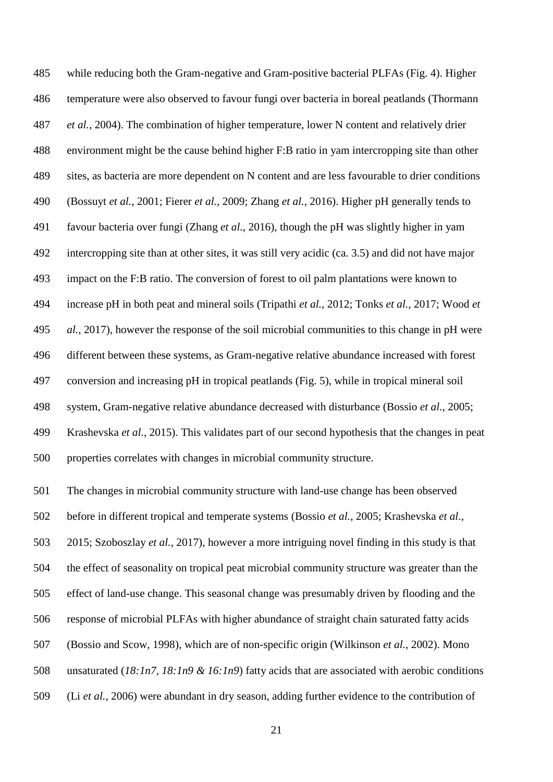while reducing both the Gram-negative and Gram-positive bacterial PLFAs (Fig. 4). Higher temperature were also observed to favour fungi over bacteria in boreal peatlands (Thormann *et al.*, 2004). The combination of higher temperature, lower N content and relatively drier environment might be the cause behind higher F:B ratio in yam intercropping site than other sites, as bacteria are more dependent on N content and are less favourable to drier conditions (Bossuyt *et al.*, 2001; Fierer *et al.*, 2009; Zhang *et al.*, 2016). Higher pH generally tends to favour bacteria over fungi (Zhang *et al.*, 2016), though the pH was slightly higher in yam intercropping site than at other sites, it was still very acidic (ca. 3.5) and did not have major impact on the F:B ratio. The conversion of forest to oil palm plantations were known to increase pH in both peat and mineral soils (Tripathi *et al.*, 2012; Tonks *et al.*, 2017; Wood *et al.*, 2017), however the response of the soil microbial communities to this change in pH were different between these systems, as Gram-negative relative abundance increased with forest conversion and increasing pH in tropical peatlands (Fig. 5), while in tropical mineral soil system, Gram-negative relative abundance decreased with disturbance (Bossio *et al.*, 2005; Krashevska *et al.*, 2015). This validates part of our second hypothesis that the changes in peat properties correlates with changes in microbial community structure.

The changes in microbial community structure with land-use change has been observed

before in different tropical and temperate systems (Bossio *et al.*, 2005; Krashevska *et al.*,

2015; Szoboszlay *et al.*, 2017), however a more intriguing novel finding in this study is that

the effect of seasonality on tropical peat microbial community structure was greater than the

effect of land-use change. This seasonal change was presumably driven by flooding and the

- response of microbial PLFAs with higher abundance of straight chain saturated fatty acids
- (Bossio and Scow, 1998), which are of non-specific origin (Wilkinson *et al.*, 2002). Mono

unsaturated (*18:1n7, 18:1n9 & 16:1n9*) fatty acids that are associated with aerobic conditions

(Li *et al.*, 2006) were abundant in dry season, adding further evidence to the contribution of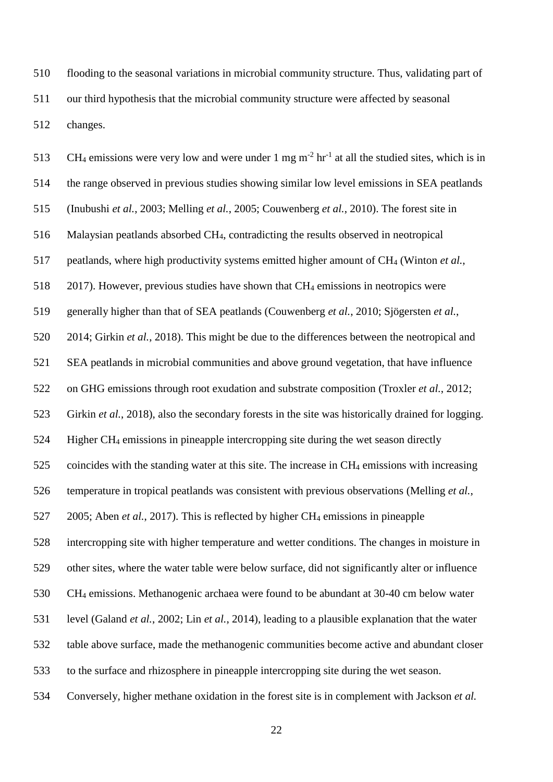flooding to the seasonal variations in microbial community structure. Thus, validating part of our third hypothesis that the microbial community structure were affected by seasonal changes.

513 CH<sub>4</sub> emissions were very low and were under 1 mg m<sup>-2</sup> hr<sup>-1</sup> at all the studied sites, which is in the range observed in previous studies showing similar low level emissions in SEA peatlands (Inubushi *et al.*, 2003; Melling *et al.*, 2005; Couwenberg *et al.*, 2010). The forest site in Malaysian peatlands absorbed CH4, contradicting the results observed in neotropical peatlands, where high productivity systems emitted higher amount of CH<sup>4</sup> (Winton *et al.*, 2017). However, previous studies have shown that CH<sup>4</sup> emissions in neotropics were generally higher than that of SEA peatlands (Couwenberg *et al.*, 2010; Sjögersten *et al.*, 2014; Girkin *et al.*, 2018). This might be due to the differences between the neotropical and SEA peatlands in microbial communities and above ground vegetation, that have influence on GHG emissions through root exudation and substrate composition (Troxler *et al.*, 2012; Girkin *et al.*, 2018), also the secondary forests in the site was historically drained for logging. Higher CH<sup>4</sup> emissions in pineapple intercropping site during the wet season directly coincides with the standing water at this site. The increase in CH<sup>4</sup> emissions with increasing temperature in tropical peatlands was consistent with previous observations (Melling *et al.*, 2005; Aben *et al.*, 2017). This is reflected by higher CH<sup>4</sup> emissions in pineapple intercropping site with higher temperature and wetter conditions. The changes in moisture in other sites, where the water table were below surface, did not significantly alter or influence CH<sup>4</sup> emissions. Methanogenic archaea were found to be abundant at 30-40 cm below water level (Galand *et al.*, 2002; Lin *et al.*, 2014), leading to a plausible explanation that the water table above surface, made the methanogenic communities become active and abundant closer to the surface and rhizosphere in pineapple intercropping site during the wet season. Conversely, higher methane oxidation in the forest site is in complement with Jackson *et al.*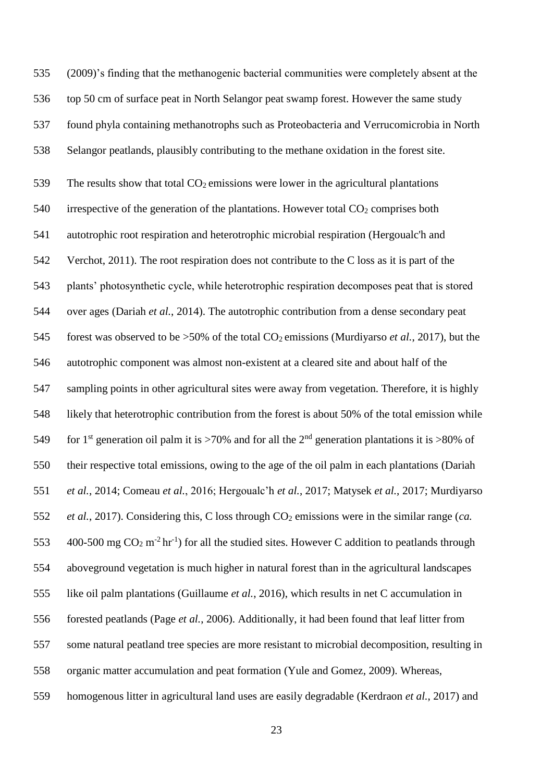(2009)'s finding that the methanogenic bacterial communities were completely absent at the top 50 cm of surface peat in North Selangor peat swamp forest. However the same study found phyla containing methanotrophs such as Proteobacteria and Verrucomicrobia in North Selangor peatlands, plausibly contributing to the methane oxidation in the forest site. 539 The results show that total  $CO<sub>2</sub>$  emissions were lower in the agricultural plantations 540 irrespective of the generation of the plantations. However total  $CO<sub>2</sub>$  comprises both autotrophic root respiration and heterotrophic microbial respiration (Hergoualc'h and Verchot, 2011). The root respiration does not contribute to the C loss as it is part of the plants' photosynthetic cycle, while heterotrophic respiration decomposes peat that is stored over ages (Dariah *et al.*, 2014). The autotrophic contribution from a dense secondary peat forest was observed to be >50% of the total CO2 emissions (Murdiyarso *et al.*, 2017), but the autotrophic component was almost non-existent at a cleared site and about half of the sampling points in other agricultural sites were away from vegetation. Therefore, it is highly likely that heterotrophic contribution from the forest is about 50% of the total emission while 549 for 1<sup>st</sup> generation oil palm it is >70% and for all the 2<sup>nd</sup> generation plantations it is >80% of their respective total emissions, owing to the age of the oil palm in each plantations (Dariah *et al.*, 2014; Comeau *et al.*, 2016; Hergoualc'h *et al.*, 2017; Matysek *et al.*, 2017; Murdiyarso *et al.*, 2017). Considering this, C loss through CO<sub>2</sub> emissions were in the similar range (*ca.*) 553 400-500 mg  $CO_2$  m<sup>-2</sup> hr<sup>-1</sup>) for all the studied sites. However C addition to peatlands through aboveground vegetation is much higher in natural forest than in the agricultural landscapes like oil palm plantations (Guillaume *et al.*, 2016), which results in net C accumulation in forested peatlands (Page *et al.*, 2006). Additionally, it had been found that leaf litter from some natural peatland tree species are more resistant to microbial decomposition, resulting in organic matter accumulation and peat formation (Yule and Gomez, 2009). Whereas, homogenous litter in agricultural land uses are easily degradable (Kerdraon *et al.*, 2017) and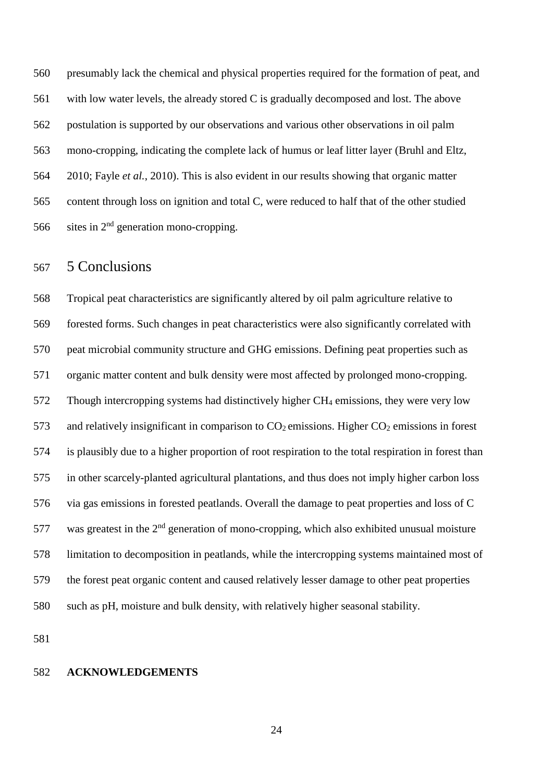presumably lack the chemical and physical properties required for the formation of peat, and with low water levels, the already stored C is gradually decomposed and lost. The above postulation is supported by our observations and various other observations in oil palm mono-cropping, indicating the complete lack of humus or leaf litter layer (Bruhl and Eltz, 2010; Fayle *et al.*, 2010). This is also evident in our results showing that organic matter content through loss on ignition and total C, were reduced to half that of the other studied 566 sites in  $2<sup>nd</sup>$  generation mono-cropping.

## 5 Conclusions

 Tropical peat characteristics are significantly altered by oil palm agriculture relative to forested forms. Such changes in peat characteristics were also significantly correlated with peat microbial community structure and GHG emissions. Defining peat properties such as organic matter content and bulk density were most affected by prolonged mono-cropping. Though intercropping systems had distinctively higher CH<sup>4</sup> emissions, they were very low 573 and relatively insignificant in comparison to  $CO<sub>2</sub>$  emissions. Higher  $CO<sub>2</sub>$  emissions in forest is plausibly due to a higher proportion of root respiration to the total respiration in forest than in other scarcely-planted agricultural plantations, and thus does not imply higher carbon loss via gas emissions in forested peatlands. Overall the damage to peat properties and loss of C 577 was greatest in the  $2<sup>nd</sup>$  generation of mono-cropping, which also exhibited unusual moisture limitation to decomposition in peatlands, while the intercropping systems maintained most of the forest peat organic content and caused relatively lesser damage to other peat properties such as pH, moisture and bulk density, with relatively higher seasonal stability.

#### **ACKNOWLEDGEMENTS**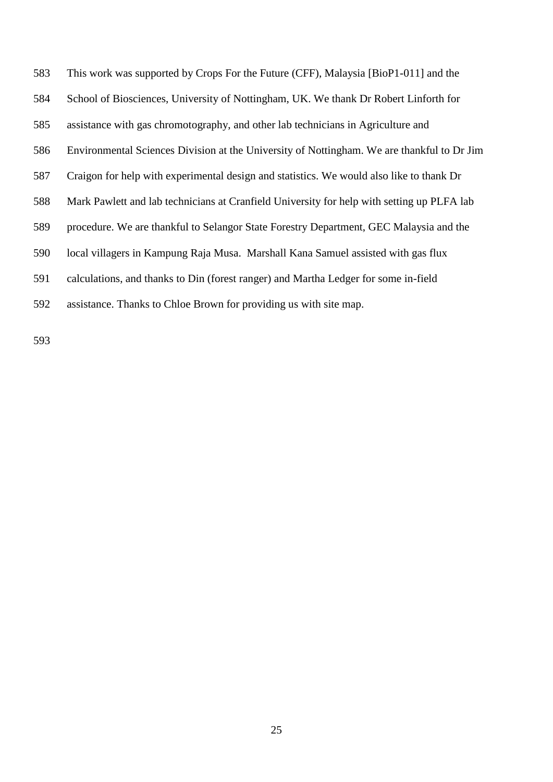This work was supported by Crops For the Future (CFF), Malaysia [BioP1-011] and the School of Biosciences, University of Nottingham, UK. We thank Dr Robert Linforth for assistance with gas chromotography, and other lab technicians in Agriculture and Environmental Sciences Division at the University of Nottingham. We are thankful to Dr Jim Craigon for help with experimental design and statistics. We would also like to thank Dr Mark Pawlett and lab technicians at Cranfield University for help with setting up PLFA lab procedure. We are thankful to Selangor State Forestry Department, GEC Malaysia and the local villagers in Kampung Raja Musa. Marshall Kana Samuel assisted with gas flux calculations, and thanks to Din (forest ranger) and Martha Ledger for some in-field assistance. Thanks to Chloe Brown for providing us with site map.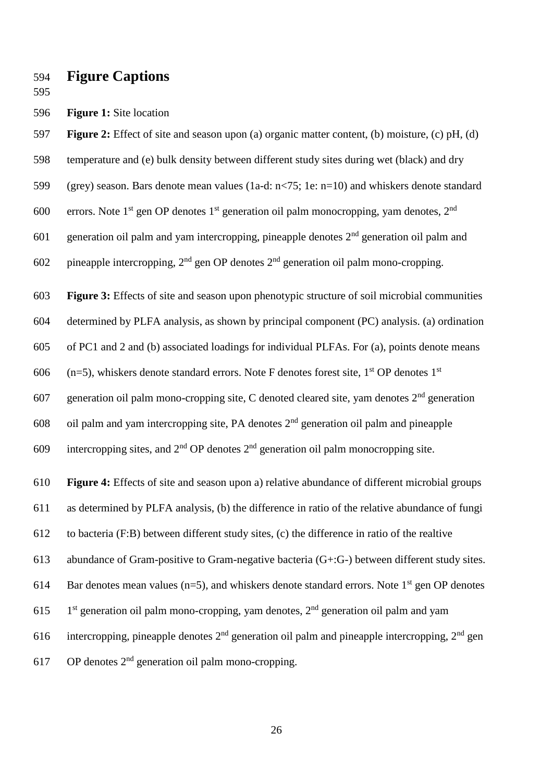- **Figure Captions**
- 
- **Figure 1:** Site location

**Figure 2:** Effect of site and season upon (a) organic matter content, (b) moisture, (c) pH, (d)

- temperature and (e) bulk density between different study sites during wet (black) and dry
- (grey) season. Bars denote mean values (1a-d: n<75; 1e: n=10) and whiskers denote standard

600 errors. Note 1<sup>st</sup> gen OP denotes 1<sup>st</sup> generation oil palm monocropping, yam denotes, 2<sup>nd</sup>

601 generation oil palm and yam intercropping, pineapple denotes  $2<sup>nd</sup>$  generation oil palm and

602 pineapple intercropping,  $2<sup>nd</sup>$  gen OP denotes  $2<sup>nd</sup>$  generation oil palm mono-cropping.

**Figure 3:** Effects of site and season upon phenotypic structure of soil microbial communities

determined by PLFA analysis, as shown by principal component (PC) analysis. (a) ordination

of PC1 and 2 and (b) associated loadings for individual PLFAs. For (a), points denote means

606 (n=5), whiskers denote standard errors. Note F denotes forest site,  $1<sup>st</sup>$  OP denotes  $1<sup>st</sup>$ 

607 generation oil palm mono-cropping site, C denoted cleared site, yam denotes  $2<sup>nd</sup>$  generation

oil palm and yam intercropping site, PA denotes  $2<sup>nd</sup>$  generation oil palm and pineapple

609 intercropping sites, and  $2<sup>nd</sup>$  OP denotes  $2<sup>nd</sup>$  generation oil palm monocropping site.

**Figure 4:** Effects of site and season upon a) relative abundance of different microbial groups

as determined by PLFA analysis, (b) the difference in ratio of the relative abundance of fungi

to bacteria (F:B) between different study sites, (c) the difference in ratio of the realtive

abundance of Gram-positive to Gram-negative bacteria (G+:G-) between different study sites.

614 Bar denotes mean values ( $n=5$ ), and whiskers denote standard errors. Note 1<sup>st</sup> gen OP denotes

- 1<sup>st</sup> generation oil palm mono-cropping, yam denotes,  $2<sup>nd</sup>$  generation oil palm and yam
- 616 intercropping, pineapple denotes  $2<sup>nd</sup>$  generation oil palm and pineapple intercropping,  $2<sup>nd</sup>$  gen
- 617 OP denotes  $2<sup>nd</sup>$  generation oil palm mono-cropping.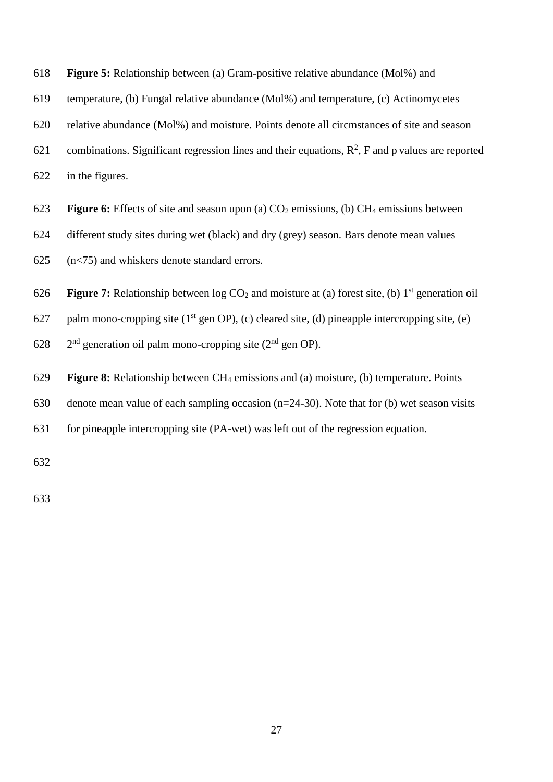| 618 | Figure 5: Relationship between (a) Gram-positive relative abundance (Mol%) and                                       |
|-----|----------------------------------------------------------------------------------------------------------------------|
| 619 | temperature, (b) Fungal relative abundance (Mol%) and temperature, (c) Actinomycetes                                 |
| 620 | relative abundance (Mol%) and moisture. Points denote all circmstances of site and season                            |
| 621 | combinations. Significant regression lines and their equations, $R^2$ , F and p values are reported                  |
| 622 | in the figures.                                                                                                      |
| 623 | <b>Figure 6:</b> Effects of site and season upon (a) $CO2$ emissions, (b) $CH4$ emissions between                    |
| 624 | different study sites during wet (black) and dry (grey) season. Bars denote mean values                              |
| 625 | $(n<$ 75) and whiskers denote standard errors.                                                                       |
| 626 | <b>Figure 7:</b> Relationship between $log CO_2$ and moisture at (a) forest site, (b) 1 <sup>st</sup> generation oil |
| 627 | palm mono-cropping site $(1st$ gen OP), (c) cleared site, (d) pineapple intercropping site, (e)                      |
| 628 | $2nd$ generation oil palm mono-cropping site ( $2nd$ gen OP).                                                        |
| 629 | <b>Figure 8:</b> Relationship between $CH_4$ emissions and (a) moisture, (b) temperature. Points                     |
| 630 | denote mean value of each sampling occasion $(n=24-30)$ . Note that for (b) wet season visits                        |
| 631 | for pineapple intercropping site (PA-wet) was left out of the regression equation.                                   |
| 632 |                                                                                                                      |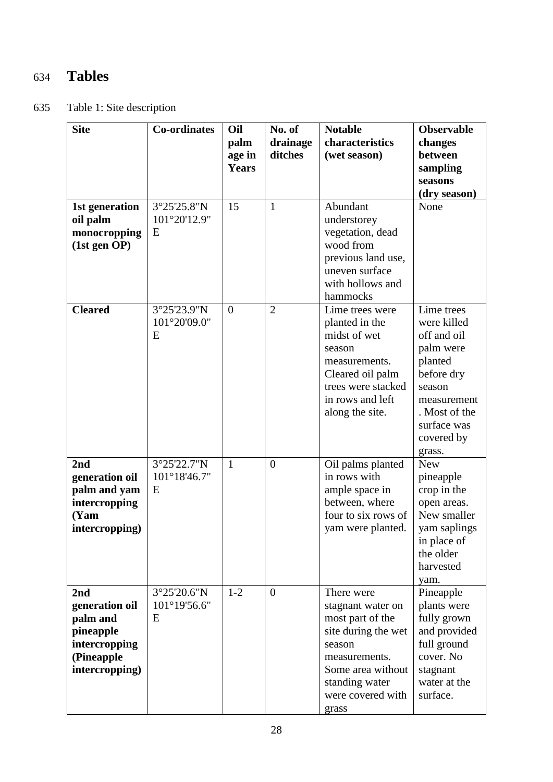# 634 **Tables**

635 Table 1: Site description

| <b>Site</b>                                                                                     | <b>Co-ordinates</b>              | Oil<br>palm<br>age in<br><b>Years</b> | No. of<br>drainage<br>ditches | <b>Notable</b><br>characteristics<br>(wet season)                                                                                                                          | <b>Observable</b><br>changes<br>between<br>sampling<br>seasons<br>(dry season)                                                                                  |
|-------------------------------------------------------------------------------------------------|----------------------------------|---------------------------------------|-------------------------------|----------------------------------------------------------------------------------------------------------------------------------------------------------------------------|-----------------------------------------------------------------------------------------------------------------------------------------------------------------|
| 1st generation<br>oil palm<br>monocropping<br>(1st gen OP)                                      | 3°25'25.8"N<br>101°20'12.9"<br>E | 15                                    | $\mathbf{1}$                  | Abundant<br>understorey<br>vegetation, dead<br>wood from<br>previous land use,<br>uneven surface<br>with hollows and<br>hammocks                                           | None                                                                                                                                                            |
| <b>Cleared</b>                                                                                  | 3°25'23.9"N<br>101°20'09.0"<br>E | $\overline{0}$                        | $\overline{2}$                | Lime trees were<br>planted in the<br>midst of wet<br>season<br>measurements.<br>Cleared oil palm<br>trees were stacked<br>in rows and left<br>along the site.              | Lime trees<br>were killed<br>off and oil<br>palm were<br>planted<br>before dry<br>season<br>measurement<br>. Most of the<br>surface was<br>covered by<br>grass. |
| 2nd<br>generation oil<br>palm and yam<br>intercropping<br>(Yam<br>intercropping)                | 3°25'22.7"N<br>101°18'46.7"<br>E | $\mathbf{1}$                          | $\overline{0}$                | Oil palms planted<br>in rows with<br>ample space in<br>between, where<br>four to six rows of<br>yam were planted.                                                          | <b>New</b><br>pineapple<br>crop in the<br>open areas.<br>New smaller<br>yam saplings<br>in place of<br>the older<br>harvested<br>yam.                           |
| 2nd<br>generation oil<br>palm and<br>pineapple<br>intercropping<br>(Pineapple<br>intercropping) | 3°25'20.6"N<br>101°19'56.6"<br>E | $1-2$                                 | $\overline{0}$                | There were<br>stagnant water on<br>most part of the<br>site during the wet<br>season<br>measurements.<br>Some area without<br>standing water<br>were covered with<br>grass | Pineapple<br>plants were<br>fully grown<br>and provided<br>full ground<br>cover. No<br>stagnant<br>water at the<br>surface.                                     |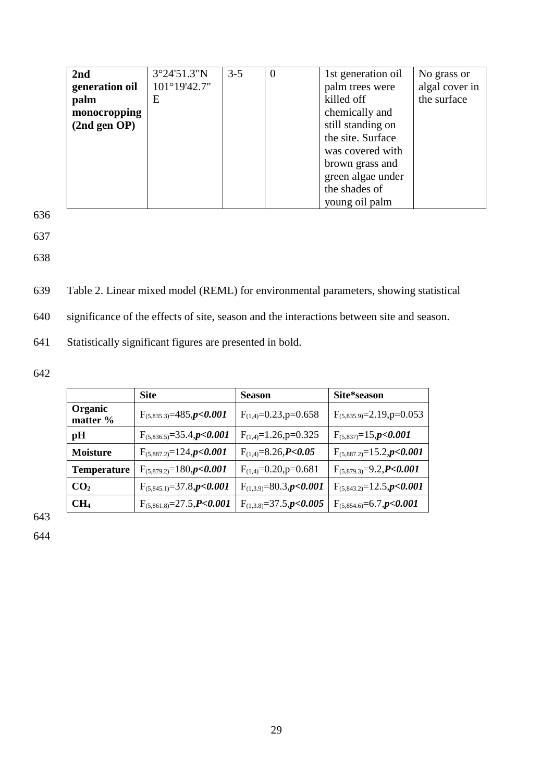| 2nd            | 3°24'51.3"N  | $3 - 5$ | $\theta$ | 1st generation oil | No grass or    |
|----------------|--------------|---------|----------|--------------------|----------------|
| generation oil | 101°19'42.7" |         |          | palm trees were    | algal cover in |
| palm           | E            |         |          | killed off         | the surface    |
| monocropping   |              |         |          | chemically and     |                |
| (2nd gen OP)   |              |         |          | still standing on  |                |
|                |              |         |          | the site. Surface  |                |
|                |              |         |          | was covered with   |                |
|                |              |         |          | brown grass and    |                |
|                |              |         |          | green algae under  |                |
|                |              |         |          | the shades of      |                |
|                |              |         |          | young oil palm     |                |

637

638

639 Table 2. Linear mixed model (REML) for environmental parameters, showing statistical

640 significance of the effects of site, season and the interactions between site and season.

641 Statistically significant figures are presented in bold.

642

|                     | <b>Site</b>                                | <b>Season</b>                      | Site*season                      |
|---------------------|--------------------------------------------|------------------------------------|----------------------------------|
| Organic<br>matter % | $F_{(5,835.3)}=485, p<0.001$               | $F_{(1,4)}=0.23$ , p=0.658         | $F_{(5,835.9)} = 2.19$ , p=0.053 |
| pН                  | $F_{(5,836.5)} = 35.4$ , $p < 0.001$       | $F_{(1,4)}=1.26$ , p=0.325         | $F_{(5,837)}=15$ , $p<0.001$     |
| <b>Moisture</b>     | $F_{(5,887.2)}=124$ , $p<0.001$            | $F_{(1,4)}=8.26$ , $P<0.05$        | $F_{(5,887.2)}=15.2, p<0.001$    |
| <b>Temperature</b>  | $F_{(5,879.2)}=180$ , $p<0.001$            | $F_{(1,4)}=0.20$ , p=0.681         | $F_{(5,879.3)}=9.2, P<0.001$     |
| CO <sub>2</sub>     | $F_{(5,845,1)} = 37.8, p < 0.001$          | $F_{(1,3.9)} = 80.3$ , $p < 0.001$ | $F_{(5,843.2)}=12.5$ , $p<0.001$ |
| CH <sub>4</sub>     | $F_{(5,861.8)} = 27.5$ , <b>P&lt;0.001</b> | $F_{(1,3,8)} = 37.5$ , p<0.005     | $F_{(5,854.6)} = 6.7, p < 0.001$ |

643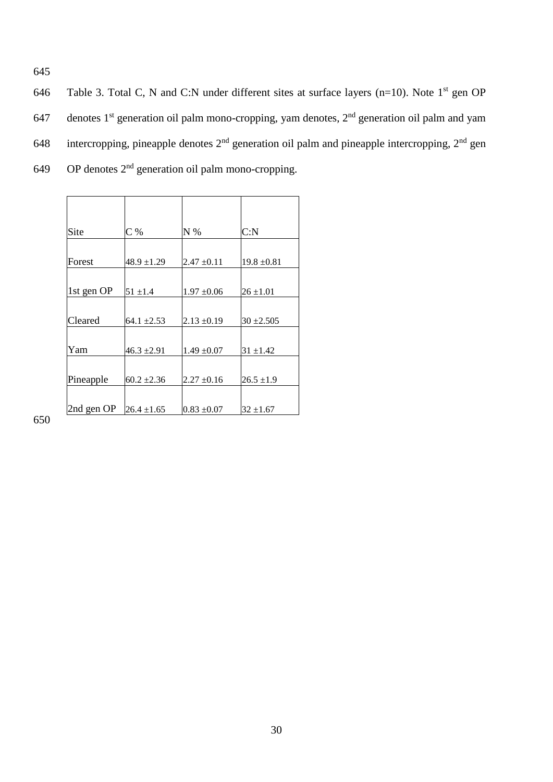646 Table 3. Total C, N and C:N under different sites at surface layers (n=10). Note  $1<sup>st</sup>$  gen OP 647 denotes  $1^{st}$  generation oil palm mono-cropping, yam denotes,  $2^{nd}$  generation oil palm and yam 648 intercropping, pineapple denotes  $2<sup>nd</sup>$  generation oil palm and pineapple intercropping,  $2<sup>nd</sup>$  gen  $649$  OP denotes  $2<sup>nd</sup>$  generation oil palm mono-cropping.

| Site       | $C\%$           | $N\%$           | C: N            |
|------------|-----------------|-----------------|-----------------|
|            |                 |                 |                 |
| Forest     | $48.9 \pm 1.29$ | $2.47 \pm 0.11$ | $19.8 \pm 0.81$ |
|            |                 |                 |                 |
| 1st gen OP | $51 \pm 1.4$    | $1.97 \pm 0.06$ | $26 \pm 1.01$   |
|            |                 |                 |                 |
| Cleared    | $64.1 \pm 2.53$ | $2.13 \pm 0.19$ | $30 + 2.505$    |
|            |                 |                 |                 |
| Yam        | 46.3 $\pm$ 2.91 | $1.49 \pm 0.07$ | $31 + 1.42$     |
|            |                 |                 |                 |
| Pineapple  | $60.2 \pm 2.36$ | $2.27 \pm 0.16$ | $26.5 \pm 1.9$  |
|            |                 |                 |                 |
| 2nd gen OP | $26.4 \pm 1.65$ | $0.83 \pm 0.07$ | $32 \pm 1.67$   |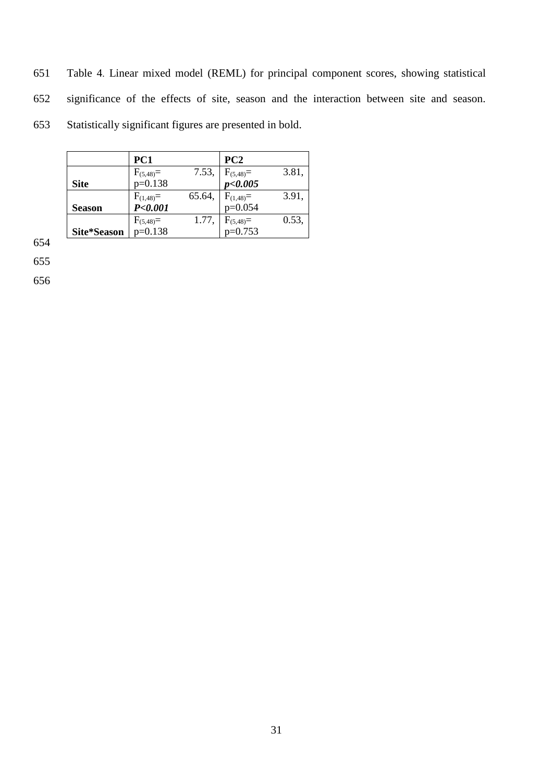651 Table 4. Linear mixed model (REML) for principal component scores, showing statistical 652 significance of the effects of site, season and the interaction between site and season. 653 Statistically significant figures are presented in bold.

|               | PC1                      |       | PC2                             |       |
|---------------|--------------------------|-------|---------------------------------|-------|
|               |                          |       |                                 | 3.81, |
| <b>Site</b>   | $F_{(5,48)}=$<br>p=0.138 |       | 7.53, $F_{(5,48)} = p < 0.005$  |       |
|               |                          |       | 65.64, $F_{(1,48)}=$<br>p=0.054 | 3.91, |
| <b>Season</b> | $F_{(1,48)}=P<0.001$     |       |                                 |       |
|               | $F_{(5,48)}=$<br>p=0.138 | 1.77, | $F_{(5,48)}=$<br>p=0.753        | 0.53, |
| Site*Season   |                          |       |                                 |       |

654

655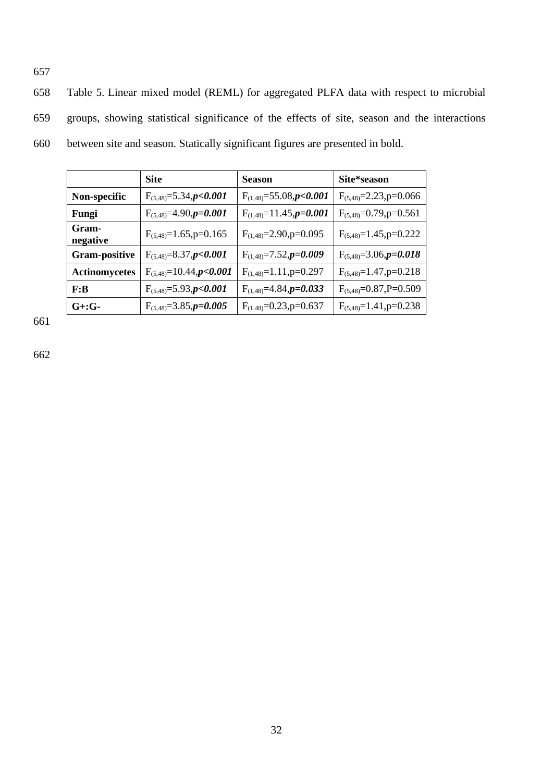658 Table 5. Linear mixed model (REML) for aggregated PLFA data with respect to microbial 659 groups, showing statistical significance of the effects of site, season and the interactions 660 between site and season. Statically significant figures are presented in bold.

|                       | <b>Site</b>                       | <b>Season</b>                     | Site*season                   |
|-----------------------|-----------------------------------|-----------------------------------|-------------------------------|
| Non-specific          | $F_{(5,48)} = 5.34$ , $p < 0.001$ | $F_{(1,48)} = 55.08, p < 0.001$   | $F_{(5,48)} = 2.23$ , p=0.066 |
| Fungi                 | $F_{(5,48)}=4.90, p=0.001$        | $F_{(1,48)}=11.45$ , $p=0.001$    | $F_{(5,48)}=0.79$ , p=0.561   |
| Gram-<br>negative     | $F_{(5,48)}=1.65$ , p=0.165       | $F(1,48)=2.90,p=0.095$            | $F_{(5,48)}=1.45$ , p=0.222   |
| <b>Gram-positive</b>  | $F_{(5,48)} = 8.37, p < 0.001$    | $F_{(1,48)} = 7.52$ , $p = 0.009$ | $F_{(5,48)}=3.06$ , $p=0.018$ |
| <b>Actinomycetes</b>  | $F_{(5,48)}=10.44, p<0.001$       | $F_{(1,48)}=1.11$ , p=0.297       | $F_{(5,48)}=1.47$ , p=0.218   |
| F: B                  | $F_{(5,48)} = 5.93$ , p<0.001     | $F_{(1,48)} = 4.84$ , $p = 0.033$ | $F_{(5,48)}=0.87, P=0.509$    |
| $G_{\pm}$ : $G_{\pm}$ | $F_{(5,48)} = 3.85$ , $p = 0.005$ | $F_{(1,48)} = 0.23$ , p=0.637     | $F_{(5,48)}=1.41$ , p=0.238   |

661

657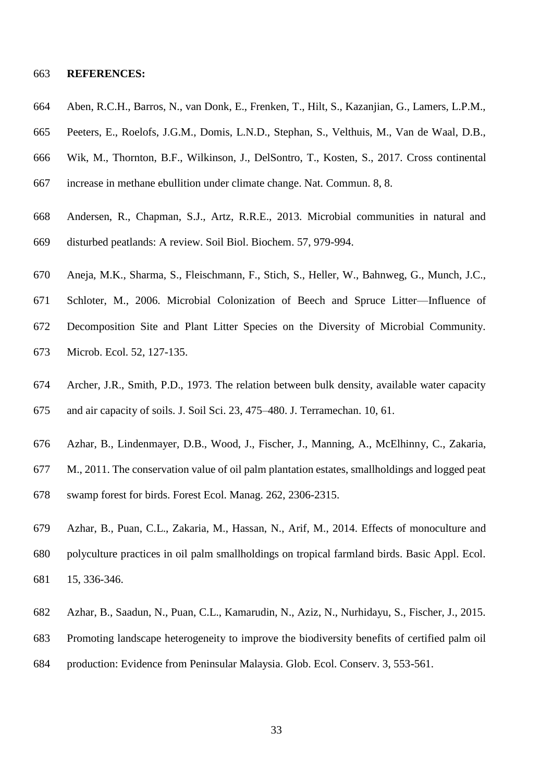#### **REFERENCES:**

- Aben, R.C.H., Barros, N., van Donk, E., Frenken, T., Hilt, S., Kazanjian, G., Lamers, L.P.M.,
- Peeters, E., Roelofs, J.G.M., Domis, L.N.D., Stephan, S., Velthuis, M., Van de Waal, D.B.,
- Wik, M., Thornton, B.F., Wilkinson, J., DelSontro, T., Kosten, S., 2017. Cross continental
- increase in methane ebullition under climate change. Nat. Commun. 8, 8.
- Andersen, R., Chapman, S.J., Artz, R.R.E., 2013. Microbial communities in natural and disturbed peatlands: A review. Soil Biol. Biochem. 57, 979-994.
- Aneja, M.K., Sharma, S., Fleischmann, F., Stich, S., Heller, W., Bahnweg, G., Munch, J.C.,
- Schloter, M., 2006. Microbial Colonization of Beech and Spruce Litter—Influence of Decomposition Site and Plant Litter Species on the Diversity of Microbial Community. Microb. Ecol. 52, 127-135.
- Archer, J.R., Smith, P.D., 1973. The relation between bulk density, available water capacity and air capacity of soils. J. Soil Sci. 23, 475–480. J. Terramechan. 10, 61.
- Azhar, B., Lindenmayer, D.B., Wood, J., Fischer, J., Manning, A., McElhinny, C., Zakaria,
- M., 2011. The conservation value of oil palm plantation estates, smallholdings and logged peat
- swamp forest for birds. Forest Ecol. Manag. 262, 2306-2315.
- Azhar, B., Puan, C.L., Zakaria, M., Hassan, N., Arif, M., 2014. Effects of monoculture and polyculture practices in oil palm smallholdings on tropical farmland birds. Basic Appl. Ecol. 15, 336-346.
- Azhar, B., Saadun, N., Puan, C.L., Kamarudin, N., Aziz, N., Nurhidayu, S., Fischer, J., 2015.
- Promoting landscape heterogeneity to improve the biodiversity benefits of certified palm oil
- production: Evidence from Peninsular Malaysia. Glob. Ecol. Conserv. 3, 553-561.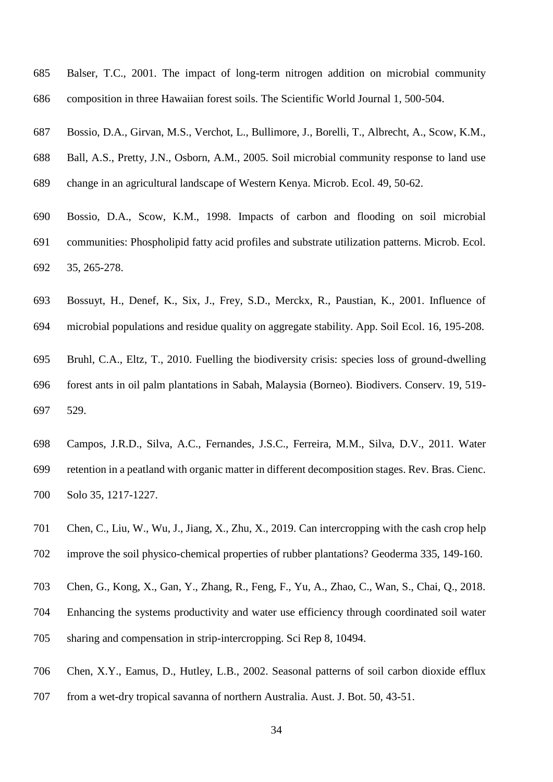- Balser, T.C., 2001. The impact of long-term nitrogen addition on microbial community composition in three Hawaiian forest soils. The Scientific World Journal 1, 500-504.
- Bossio, D.A., Girvan, M.S., Verchot, L., Bullimore, J., Borelli, T., Albrecht, A., Scow, K.M.,
- Ball, A.S., Pretty, J.N., Osborn, A.M., 2005. Soil microbial community response to land use change in an agricultural landscape of Western Kenya. Microb. Ecol. 49, 50-62.
- Bossio, D.A., Scow, K.M., 1998. Impacts of carbon and flooding on soil microbial communities: Phospholipid fatty acid profiles and substrate utilization patterns. Microb. Ecol. 35, 265-278.
- Bossuyt, H., Denef, K., Six, J., Frey, S.D., Merckx, R., Paustian, K., 2001. Influence of
- microbial populations and residue quality on aggregate stability. App. Soil Ecol. 16, 195-208.
- Bruhl, C.A., Eltz, T., 2010. Fuelling the biodiversity crisis: species loss of ground-dwelling forest ants in oil palm plantations in Sabah, Malaysia (Borneo). Biodivers. Conserv. 19, 519- 529.
- Campos, J.R.D., Silva, A.C., Fernandes, J.S.C., Ferreira, M.M., Silva, D.V., 2011. Water retention in a peatland with organic matter in different decomposition stages. Rev. Bras. Cienc. Solo 35, 1217-1227.
- Chen, C., Liu, W., Wu, J., Jiang, X., Zhu, X., 2019. Can intercropping with the cash crop help improve the soil physico-chemical properties of rubber plantations? Geoderma 335, 149-160.
- Chen, G., Kong, X., Gan, Y., Zhang, R., Feng, F., Yu, A., Zhao, C., Wan, S., Chai, Q., 2018.
- Enhancing the systems productivity and water use efficiency through coordinated soil water sharing and compensation in strip-intercropping. Sci Rep 8, 10494.
- Chen, X.Y., Eamus, D., Hutley, L.B., 2002. Seasonal patterns of soil carbon dioxide efflux
- from a wet-dry tropical savanna of northern Australia. Aust. J. Bot. 50, 43-51.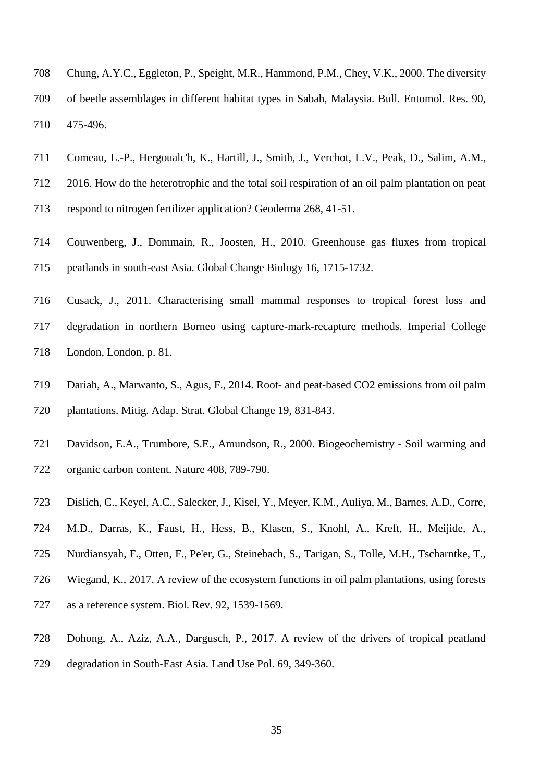- Chung, A.Y.C., Eggleton, P., Speight, M.R., Hammond, P.M., Chey, V.K., 2000. The diversity of beetle assemblages in different habitat types in Sabah, Malaysia. Bull. Entomol. Res. 90, 475-496.
- Comeau, L.-P., Hergoualc'h, K., Hartill, J., Smith, J., Verchot, L.V., Peak, D., Salim, A.M.,
- 2016. How do the heterotrophic and the total soil respiration of an oil palm plantation on peat
- respond to nitrogen fertilizer application? Geoderma 268, 41-51.
- Couwenberg, J., Dommain, R., Joosten, H., 2010. Greenhouse gas fluxes from tropical peatlands in south-east Asia. Global Change Biology 16, 1715-1732.
- Cusack, J., 2011. Characterising small mammal responses to tropical forest loss and degradation in northern Borneo using capture-mark-recapture methods. Imperial College London, London, p. 81.
- Dariah, A., Marwanto, S., Agus, F., 2014. Root- and peat-based CO2 emissions from oil palm plantations. Mitig. Adap. Strat. Global Change 19, 831-843.
- Davidson, E.A., Trumbore, S.E., Amundson, R., 2000. Biogeochemistry Soil warming and organic carbon content. Nature 408, 789-790.
- Dislich, C., Keyel, A.C., Salecker, J., Kisel, Y., Meyer, K.M., Auliya, M., Barnes, A.D., Corre,
- M.D., Darras, K., Faust, H., Hess, B., Klasen, S., Knohl, A., Kreft, H., Meijide, A.,
- Nurdiansyah, F., Otten, F., Pe'er, G., Steinebach, S., Tarigan, S., Tolle, M.H., Tscharntke, T.,
- Wiegand, K., 2017. A review of the ecosystem functions in oil palm plantations, using forests
- as a reference system. Biol. Rev. 92, 1539-1569.
- Dohong, A., Aziz, A.A., Dargusch, P., 2017. A review of the drivers of tropical peatland
- degradation in South-East Asia. Land Use Pol. 69, 349-360.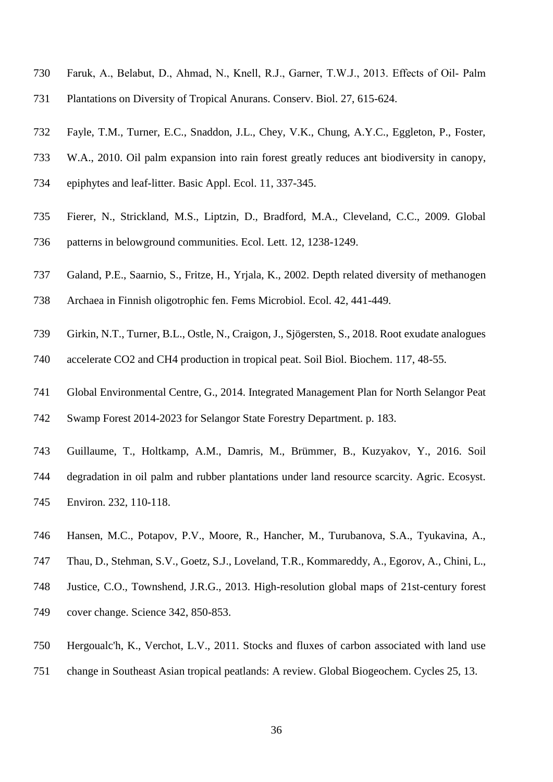- Faruk, A., Belabut, D., Ahmad, N., Knell, R.J., Garner, T.W.J., 2013. Effects of Oil‐ Palm
- Plantations on Diversity of Tropical Anurans. Conserv. Biol. 27, 615-624.
- Fayle, T.M., Turner, E.C., Snaddon, J.L., Chey, V.K., Chung, A.Y.C., Eggleton, P., Foster,
- W.A., 2010. Oil palm expansion into rain forest greatly reduces ant biodiversity in canopy,
- epiphytes and leaf-litter. Basic Appl. Ecol. 11, 337-345.
- Fierer, N., Strickland, M.S., Liptzin, D., Bradford, M.A., Cleveland, C.C., 2009. Global patterns in belowground communities. Ecol. Lett. 12, 1238-1249.
- Galand, P.E., Saarnio, S., Fritze, H., Yrjala, K., 2002. Depth related diversity of methanogen
- Archaea in Finnish oligotrophic fen. Fems Microbiol. Ecol. 42, 441-449.
- Girkin, N.T., Turner, B.L., Ostle, N., Craigon, J., Sjögersten, S., 2018. Root exudate analogues accelerate CO2 and CH4 production in tropical peat. Soil Biol. Biochem. 117, 48-55.
- Global Environmental Centre, G., 2014. Integrated Management Plan for North Selangor Peat
- Swamp Forest 2014-2023 for Selangor State Forestry Department. p. 183.
- Guillaume, T., Holtkamp, A.M., Damris, M., Brümmer, B., Kuzyakov, Y., 2016. Soil
- degradation in oil palm and rubber plantations under land resource scarcity. Agric. Ecosyst. Environ. 232, 110-118.
- Hansen, M.C., Potapov, P.V., Moore, R., Hancher, M., Turubanova, S.A., Tyukavina, A.,
- Thau, D., Stehman, S.V., Goetz, S.J., Loveland, T.R., Kommareddy, A., Egorov, A., Chini, L.,
- Justice, C.O., Townshend, J.R.G., 2013. High-resolution global maps of 21st-century forest cover change. Science 342, 850-853.
- Hergoualc'h, K., Verchot, L.V., 2011. Stocks and fluxes of carbon associated with land use
- change in Southeast Asian tropical peatlands: A review. Global Biogeochem. Cycles 25, 13.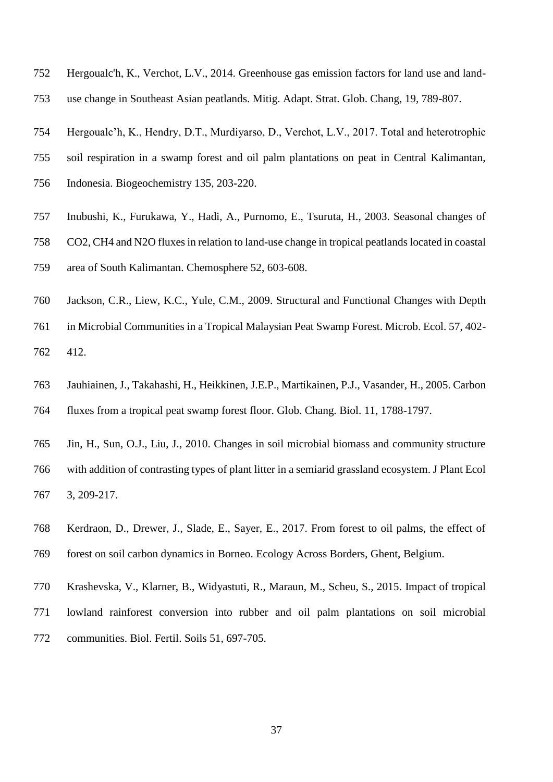- Hergoualc'h, K., Verchot, L.V., 2014. Greenhouse gas emission factors for land use and land-
- use change in Southeast Asian peatlands. Mitig. Adapt. Strat. Glob. Chang, 19, 789-807.
- Hergoualc'h, K., Hendry, D.T., Murdiyarso, D., Verchot, L.V., 2017. Total and heterotrophic
- soil respiration in a swamp forest and oil palm plantations on peat in Central Kalimantan,
- Indonesia. Biogeochemistry 135, 203-220.
- Inubushi, K., Furukawa, Y., Hadi, A., Purnomo, E., Tsuruta, H., 2003. Seasonal changes of
- CO2, CH4 and N2O fluxes in relation to land-use change in tropical peatlands located in coastal
- area of South Kalimantan. Chemosphere 52, 603-608.
- Jackson, C.R., Liew, K.C., Yule, C.M., 2009. Structural and Functional Changes with Depth
- in Microbial Communities in a Tropical Malaysian Peat Swamp Forest. Microb. Ecol. 57, 402- 412.
- Jauhiainen, J., Takahashi, H., Heikkinen, J.E.P., Martikainen, P.J., Vasander, H., 2005. Carbon fluxes from a tropical peat swamp forest floor. Glob. Chang. Biol. 11, 1788-1797.
- Jin, H., Sun, O.J., Liu, J., 2010. Changes in soil microbial biomass and community structure with addition of contrasting types of plant litter in a semiarid grassland ecosystem. J Plant Ecol 3, 209-217.
- Kerdraon, D., Drewer, J., Slade, E., Sayer, E., 2017. From forest to oil palms, the effect of forest on soil carbon dynamics in Borneo. Ecology Across Borders, Ghent, Belgium.
- Krashevska, V., Klarner, B., Widyastuti, R., Maraun, M., Scheu, S., 2015. Impact of tropical lowland rainforest conversion into rubber and oil palm plantations on soil microbial communities. Biol. Fertil. Soils 51, 697-705.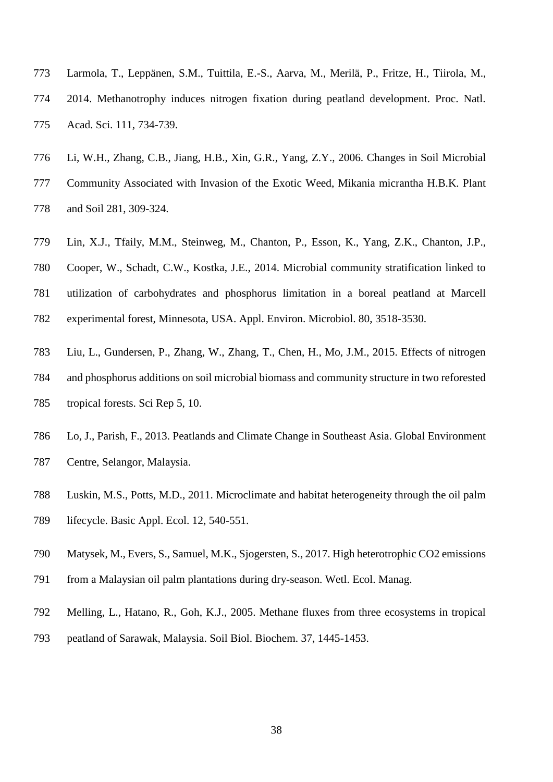- Larmola, T., Leppänen, S.M., Tuittila, E.-S., Aarva, M., Merilä, P., Fritze, H., Tiirola, M., 2014. Methanotrophy induces nitrogen fixation during peatland development. Proc. Natl. Acad. Sci. 111, 734-739.
- Li, W.H., Zhang, C.B., Jiang, H.B., Xin, G.R., Yang, Z.Y., 2006. Changes in Soil Microbial Community Associated with Invasion of the Exotic Weed, Mikania micrantha H.B.K. Plant and Soil 281, 309-324.
- Lin, X.J., Tfaily, M.M., Steinweg, M., Chanton, P., Esson, K., Yang, Z.K., Chanton, J.P., Cooper, W., Schadt, C.W., Kostka, J.E., 2014. Microbial community stratification linked to utilization of carbohydrates and phosphorus limitation in a boreal peatland at Marcell experimental forest, Minnesota, USA. Appl. Environ. Microbiol. 80, 3518-3530.
- Liu, L., Gundersen, P., Zhang, W., Zhang, T., Chen, H., Mo, J.M., 2015. Effects of nitrogen and phosphorus additions on soil microbial biomass and community structure in two reforested tropical forests. Sci Rep 5, 10.
- Lo, J., Parish, F., 2013. Peatlands and Climate Change in Southeast Asia. Global Environment Centre, Selangor, Malaysia.
- Luskin, M.S., Potts, M.D., 2011. Microclimate and habitat heterogeneity through the oil palm lifecycle. Basic Appl. Ecol. 12, 540-551.
- Matysek, M., Evers, S., Samuel, M.K., Sjogersten, S., 2017. High heterotrophic CO2 emissions
- from a Malaysian oil palm plantations during dry-season. Wetl. Ecol. Manag.
- Melling, L., Hatano, R., Goh, K.J., 2005. Methane fluxes from three ecosystems in tropical peatland of Sarawak, Malaysia. Soil Biol. Biochem. 37, 1445-1453.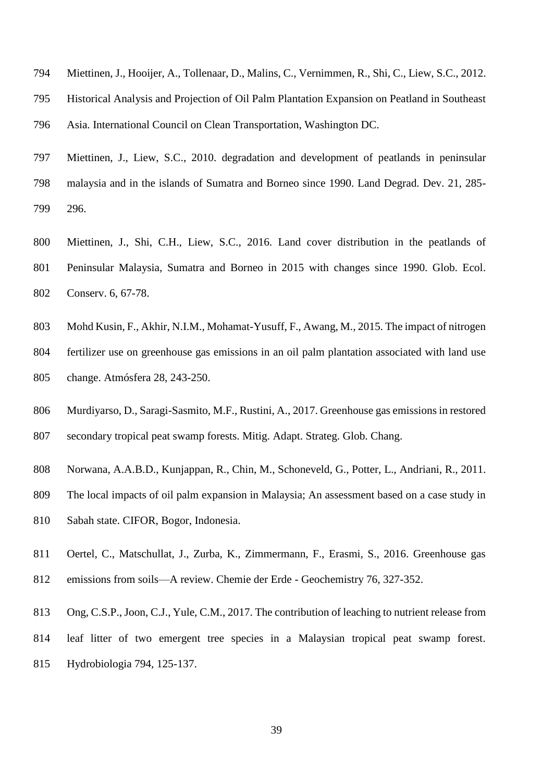- Miettinen, J., Hooijer, A., Tollenaar, D., Malins, C., Vernimmen, R., Shi, C., Liew, S.C., 2012.
- Historical Analysis and Projection of Oil Palm Plantation Expansion on Peatland in Southeast
- Asia. International Council on Clean Transportation, Washington DC.
- Miettinen, J., Liew, S.C., 2010. degradation and development of peatlands in peninsular malaysia and in the islands of Sumatra and Borneo since 1990. Land Degrad. Dev. 21, 285- 296.
- Miettinen, J., Shi, C.H., Liew, S.C., 2016. Land cover distribution in the peatlands of Peninsular Malaysia, Sumatra and Borneo in 2015 with changes since 1990. Glob. Ecol. Conserv. 6, 67-78.
- Mohd Kusin, F., Akhir, N.I.M., Mohamat-Yusuff, F., Awang, M., 2015. The impact of nitrogen
- fertilizer use on greenhouse gas emissions in an oil palm plantation associated with land use change. Atmósfera 28, 243-250.
- Murdiyarso, D., Saragi-Sasmito, M.F., Rustini, A., 2017. Greenhouse gas emissions in restored secondary tropical peat swamp forests. Mitig. Adapt. Strateg. Glob. Chang.
- Norwana, A.A.B.D., Kunjappan, R., Chin, M., Schoneveld, G., Potter, L., Andriani, R., 2011.
- The local impacts of oil palm expansion in Malaysia; An assessment based on a case study in
- Sabah state. CIFOR, Bogor, Indonesia.
- Oertel, C., Matschullat, J., Zurba, K., Zimmermann, F., Erasmi, S., 2016. Greenhouse gas
- emissions from soils—A review. Chemie der Erde Geochemistry 76, 327-352.
- Ong, C.S.P., Joon, C.J., Yule, C.M., 2017. The contribution of leaching to nutrient release from leaf litter of two emergent tree species in a Malaysian tropical peat swamp forest. Hydrobiologia 794, 125-137.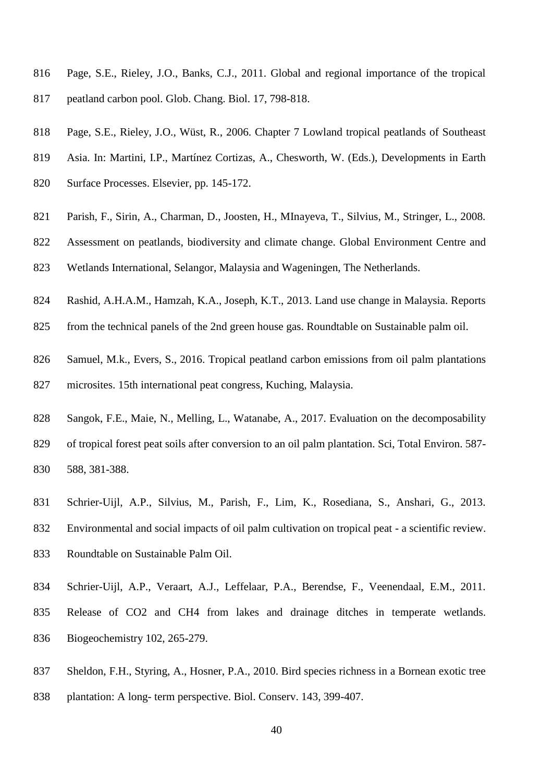- Page, S.E., Rieley, J.O., Banks, C.J., 2011. Global and regional importance of the tropical peatland carbon pool. Glob. Chang. Biol. 17, 798-818.
- Page, S.E., Rieley, J.O., Wüst, R., 2006. Chapter 7 Lowland tropical peatlands of Southeast
- Asia. In: Martini, I.P., Martínez Cortizas, A., Chesworth, W. (Eds.), Developments in Earth
- Surface Processes. Elsevier, pp. 145-172.
- Parish, F., Sirin, A., Charman, D., Joosten, H., MInayeva, T., Silvius, M., Stringer, L., 2008.
- Assessment on peatlands, biodiversity and climate change. Global Environment Centre and
- Wetlands International, Selangor, Malaysia and Wageningen, The Netherlands.
- Rashid, A.H.A.M., Hamzah, K.A., Joseph, K.T., 2013. Land use change in Malaysia. Reports
- from the technical panels of the 2nd green house gas. Roundtable on Sustainable palm oil.
- Samuel, M.k., Evers, S., 2016. Tropical peatland carbon emissions from oil palm plantations microsites. 15th international peat congress, Kuching, Malaysia.
- Sangok, F.E., Maie, N., Melling, L., Watanabe, A., 2017. Evaluation on the decomposability of tropical forest peat soils after conversion to an oil palm plantation. Sci, Total Environ. 587- 588, 381-388.
- Schrier-Uijl, A.P., Silvius, M., Parish, F., Lim, K., Rosediana, S., Anshari, G., 2013. Environmental and social impacts of oil palm cultivation on tropical peat - a scientific review. Roundtable on Sustainable Palm Oil.
- Schrier-Uijl, A.P., Veraart, A.J., Leffelaar, P.A., Berendse, F., Veenendaal, E.M., 2011. Release of CO2 and CH4 from lakes and drainage ditches in temperate wetlands. Biogeochemistry 102, 265-279.
- Sheldon, F.H., Styring, A., Hosner, P.A., 2010. Bird species richness in a Bornean exotic tree plantation: A long- term perspective. Biol. Conserv. 143, 399-407.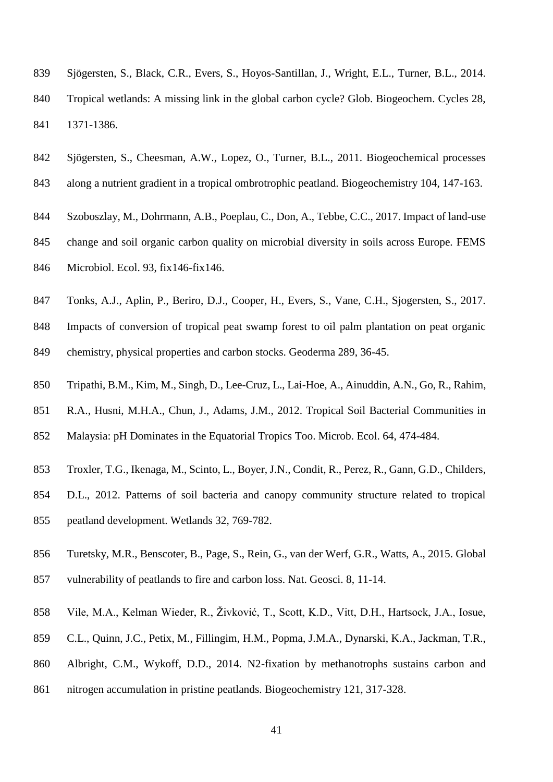- Sjögersten, S., Black, C.R., Evers, S., Hoyos-Santillan, J., Wright, E.L., Turner, B.L., 2014. Tropical wetlands: A missing link in the global carbon cycle? Glob. Biogeochem. Cycles 28, 1371-1386.
- Sjögersten, S., Cheesman, A.W., Lopez, O., Turner, B.L., 2011. Biogeochemical processes
- along a nutrient gradient in a tropical ombrotrophic peatland. Biogeochemistry 104, 147-163.
- Szoboszlay, M., Dohrmann, A.B., Poeplau, C., Don, A., Tebbe, C.C., 2017. Impact of land-use
- change and soil organic carbon quality on microbial diversity in soils across Europe. FEMS
- Microbiol. Ecol. 93, fix146-fix146.
- Tonks, A.J., Aplin, P., Beriro, D.J., Cooper, H., Evers, S., Vane, C.H., Sjogersten, S., 2017.
- Impacts of conversion of tropical peat swamp forest to oil palm plantation on peat organic chemistry, physical properties and carbon stocks. Geoderma 289, 36-45.
- Tripathi, B.M., Kim, M., Singh, D., Lee-Cruz, L., Lai-Hoe, A., Ainuddin, A.N., Go, R., Rahim,
- R.A., Husni, M.H.A., Chun, J., Adams, J.M., 2012. Tropical Soil Bacterial Communities in
- Malaysia: pH Dominates in the Equatorial Tropics Too. Microb. Ecol. 64, 474-484.
- Troxler, T.G., Ikenaga, M., Scinto, L., Boyer, J.N., Condit, R., Perez, R., Gann, G.D., Childers,
- D.L., 2012. Patterns of soil bacteria and canopy community structure related to tropical peatland development. Wetlands 32, 769-782.
- Turetsky, M.R., Benscoter, B., Page, S., Rein, G., van der Werf, G.R., Watts, A., 2015. Global
- vulnerability of peatlands to fire and carbon loss. Nat. Geosci. 8, 11-14.
- Vile, M.A., Kelman Wieder, R., Živković, T., Scott, K.D., Vitt, D.H., Hartsock, J.A., Iosue,
- C.L., Quinn, J.C., Petix, M., Fillingim, H.M., Popma, J.M.A., Dynarski, K.A., Jackman, T.R.,
- Albright, C.M., Wykoff, D.D., 2014. N2-fixation by methanotrophs sustains carbon and
- nitrogen accumulation in pristine peatlands. Biogeochemistry 121, 317-328.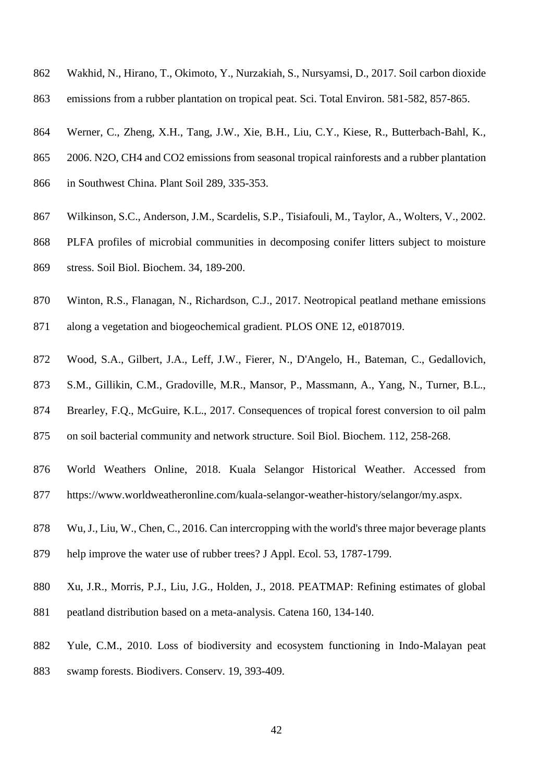- Wakhid, N., Hirano, T., Okimoto, Y., Nurzakiah, S., Nursyamsi, D., 2017. Soil carbon dioxide
- emissions from a rubber plantation on tropical peat. Sci. Total Environ. 581-582, 857-865.
- Werner, C., Zheng, X.H., Tang, J.W., Xie, B.H., Liu, C.Y., Kiese, R., Butterbach-Bahl, K.,
- 2006. N2O, CH4 and CO2 emissions from seasonal tropical rainforests and a rubber plantation
- in Southwest China. Plant Soil 289, 335-353.
- Wilkinson, S.C., Anderson, J.M., Scardelis, S.P., Tisiafouli, M., Taylor, A., Wolters, V., 2002.
- PLFA profiles of microbial communities in decomposing conifer litters subject to moisture
- stress. Soil Biol. Biochem. 34, 189-200.
- Winton, R.S., Flanagan, N., Richardson, C.J., 2017. Neotropical peatland methane emissions
- along a vegetation and biogeochemical gradient. PLOS ONE 12, e0187019.
- Wood, S.A., Gilbert, J.A., Leff, J.W., Fierer, N., D'Angelo, H., Bateman, C., Gedallovich,
- S.M., Gillikin, C.M., Gradoville, M.R., Mansor, P., Massmann, A., Yang, N., Turner, B.L.,
- Brearley, F.Q., McGuire, K.L., 2017. Consequences of tropical forest conversion to oil palm
- on soil bacterial community and network structure. Soil Biol. Biochem. 112, 258-268.
- World Weathers Online, 2018. Kuala Selangor Historical Weather. Accessed from
- https://www.worldweatheronline.com/kuala-selangor-weather-history/selangor/my.aspx.
- Wu, J., Liu, W., Chen, C., 2016. Can intercropping with the world's three major beverage plants
- help improve the water use of rubber trees? J Appl. Ecol. 53, 1787-1799.
- Xu, J.R., Morris, P.J., Liu, J.G., Holden, J., 2018. PEATMAP: Refining estimates of global peatland distribution based on a meta-analysis. Catena 160, 134-140.
- Yule, C.M., 2010. Loss of biodiversity and ecosystem functioning in Indo-Malayan peat
- swamp forests. Biodivers. Conserv. 19, 393-409.